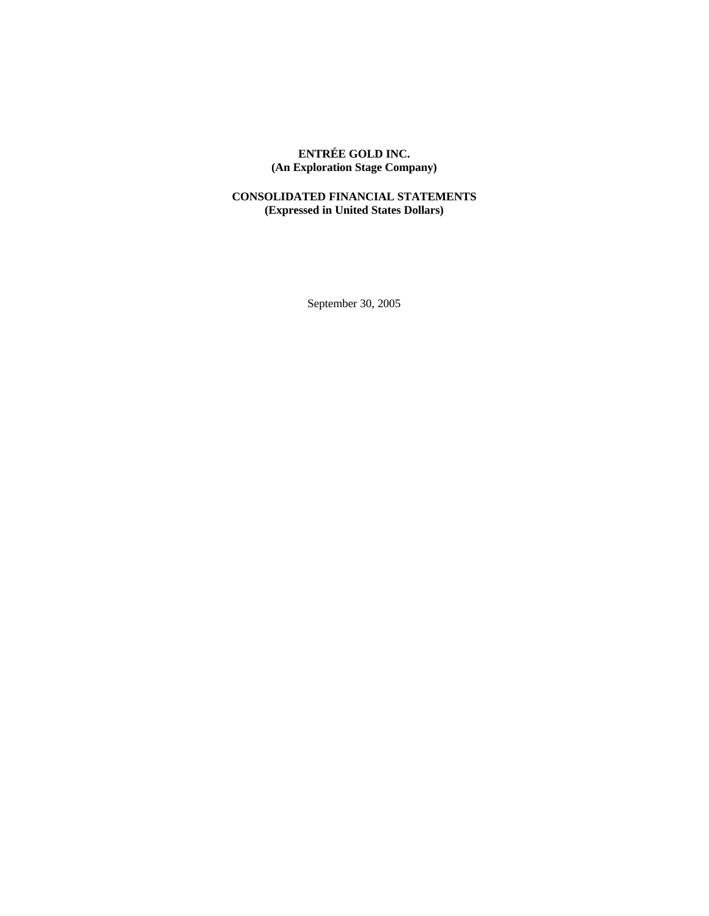# **ENTRÉE GOLD INC. (An Exploration Stage Company)**

## **CONSOLIDATED FINANCIAL STATEMENTS (Expressed in United States Dollars)**

September 30, 2005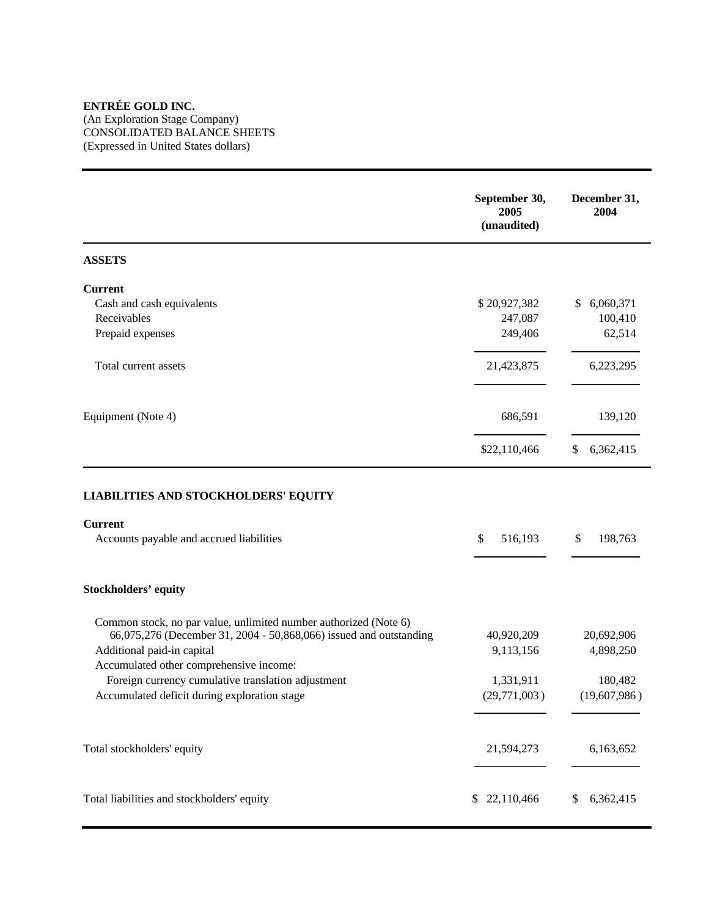## **ENTRÉE GOLD INC.**

(An Exploration Stage Company) CONSOLIDATED BALANCE SHEETS (Expressed in United States dollars)

|                                                                                                           | September 30,<br>2005<br>(unaudited) | December 31,<br>2004 |
|-----------------------------------------------------------------------------------------------------------|--------------------------------------|----------------------|
| <b>ASSETS</b>                                                                                             |                                      |                      |
| <b>Current</b>                                                                                            |                                      |                      |
| Cash and cash equivalents                                                                                 | \$20,927,382                         | \$<br>6,060,371      |
| Receivables                                                                                               | 247,087                              | 100,410              |
| Prepaid expenses                                                                                          | 249,406                              | 62,514               |
| Total current assets                                                                                      | 21,423,875                           | 6,223,295            |
| Equipment (Note 4)                                                                                        | 686,591                              | 139,120              |
|                                                                                                           |                                      |                      |
|                                                                                                           | \$22,110,466                         | 6,362,415<br>\$      |
| <b>LIABILITIES AND STOCKHOLDERS' EQUITY</b><br><b>Current</b><br>Accounts payable and accrued liabilities | 516,193<br>\$                        | \$<br>198,763        |
| <b>Stockholders' equity</b>                                                                               |                                      |                      |
| Common stock, no par value, unlimited number authorized (Note 6)                                          |                                      |                      |
| 66,075,276 (December 31, 2004 - 50,868,066) issued and outstanding                                        | 40,920,209                           | 20,692,906           |
| Additional paid-in capital                                                                                | 9,113,156                            | 4,898,250            |
| Accumulated other comprehensive income:                                                                   |                                      |                      |
| Foreign currency cumulative translation adjustment                                                        | 1,331,911                            | 180,482              |
| Accumulated deficit during exploration stage                                                              | (29,771,003)                         | (19,607,986)         |
| Total stockholders' equity                                                                                | 21,594,273                           | 6,163,652            |
| Total liabilities and stockholders' equity                                                                | \$ 22,110,466                        | 6,362,415            |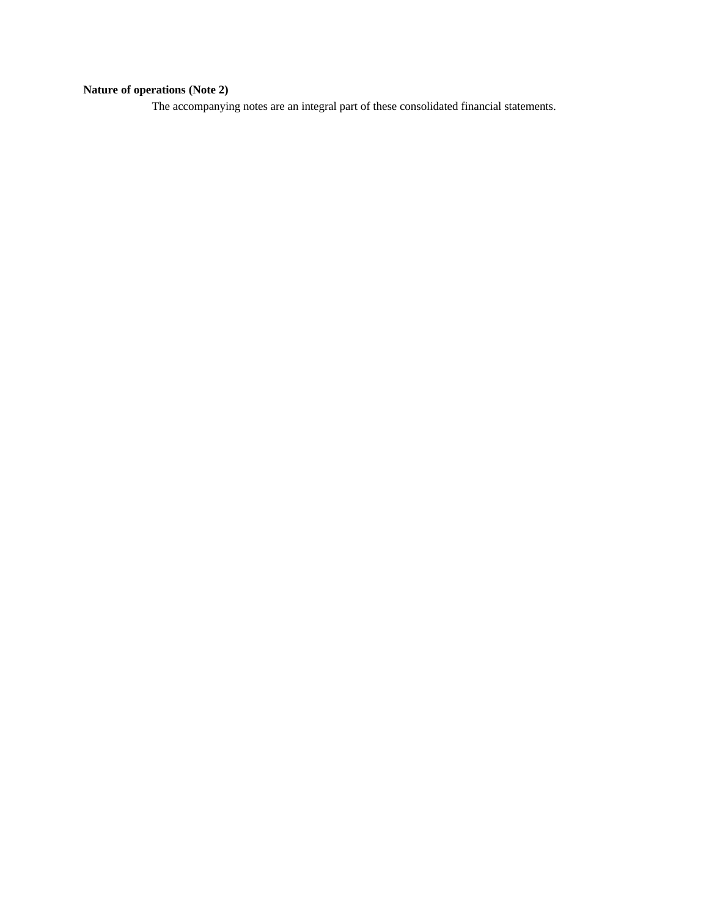# **Nature of operations (Note 2)**

The accompanying notes are an integral part of these consolidated financial statements.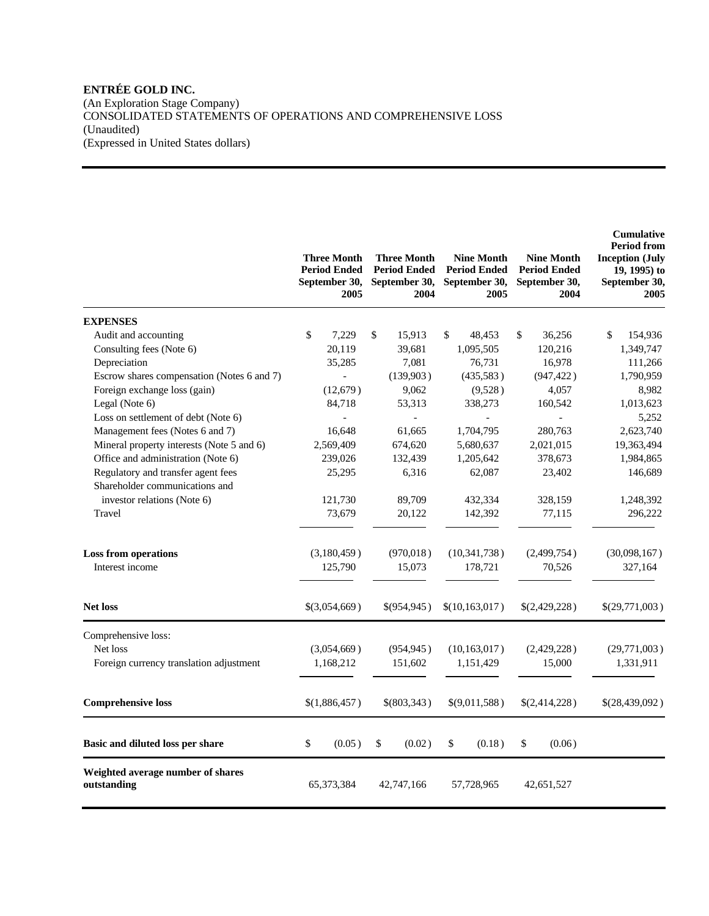## **ENTRÉE GOLD INC.**  (An Exploration Stage Company) CONSOLIDATED STATEMENTS OF OPERATIONS AND COMPREHENSIVE LOSS (Unaudited) (Expressed in United States dollars)

|                                                                      | <b>Three Month</b><br><b>Period Ended</b><br>September 30,<br>2005 | <b>Three Month</b><br><b>Period Ended</b><br>September 30,<br>2004 | <b>Nine Month</b><br><b>Period Ended</b><br>September 30,<br>2005 | <b>Nine Month</b><br><b>Period Ended</b><br>September 30,<br>2004 | <b>Cumulative</b><br><b>Period from</b><br><b>Inception (July</b><br>19, 1995) to<br>September 30,<br>2005 |
|----------------------------------------------------------------------|--------------------------------------------------------------------|--------------------------------------------------------------------|-------------------------------------------------------------------|-------------------------------------------------------------------|------------------------------------------------------------------------------------------------------------|
| <b>EXPENSES</b>                                                      |                                                                    |                                                                    |                                                                   |                                                                   |                                                                                                            |
| Audit and accounting                                                 | \$<br>7,229                                                        | \$<br>15,913                                                       | \$<br>48,453                                                      | \$<br>36,256                                                      | \$<br>154,936                                                                                              |
| Consulting fees (Note 6)                                             | 20,119                                                             | 39,681                                                             | 1,095,505                                                         | 120,216                                                           | 1,349,747                                                                                                  |
| Depreciation                                                         | 35,285                                                             | 7,081                                                              | 76,731                                                            | 16,978                                                            | 111,266                                                                                                    |
| Escrow shares compensation (Notes 6 and 7)                           |                                                                    | (139,903)                                                          | (435,583)                                                         | (947, 422)                                                        | 1,790,959                                                                                                  |
| Foreign exchange loss (gain)                                         | (12, 679)                                                          | 9,062                                                              | (9,528)                                                           | 4,057                                                             | 8,982                                                                                                      |
| Legal (Note 6)                                                       | 84,718                                                             | 53,313                                                             | 338,273                                                           | 160,542                                                           | 1,013,623                                                                                                  |
| Loss on settlement of debt (Note 6)                                  |                                                                    | $\overline{a}$                                                     |                                                                   | $\overline{\phantom{a}}$                                          | 5,252                                                                                                      |
| Management fees (Notes 6 and 7)                                      | 16,648                                                             | 61,665                                                             | 1,704,795                                                         | 280,763                                                           | 2,623,740                                                                                                  |
| Mineral property interests (Note 5 and 6)                            | 2,569,409                                                          | 674,620                                                            | 5,680,637                                                         | 2,021,015                                                         | 19,363,494                                                                                                 |
| Office and administration (Note 6)                                   | 239,026                                                            | 132,439                                                            | 1,205,642                                                         | 378,673                                                           | 1,984,865                                                                                                  |
| Regulatory and transfer agent fees<br>Shareholder communications and | 25,295                                                             | 6,316                                                              | 62,087                                                            | 23,402                                                            | 146,689                                                                                                    |
| investor relations (Note 6)                                          | 121,730                                                            | 89,709                                                             | 432,334                                                           | 328,159                                                           | 1,248,392                                                                                                  |
| Travel                                                               | 73,679                                                             | 20,122                                                             | 142,392                                                           | 77,115                                                            | 296,222                                                                                                    |
|                                                                      |                                                                    |                                                                    |                                                                   |                                                                   |                                                                                                            |
| <b>Loss from operations</b><br>Interest income                       | (3,180,459)<br>125,790                                             | (970, 018)<br>15,073                                               | (10, 341, 738)<br>178,721                                         | (2,499,754)<br>70,526                                             | (30,098,167)<br>327,164                                                                                    |
| <b>Net loss</b>                                                      | \$(3,054,669)                                                      | \$(954,945)                                                        | \$(10,163,017)                                                    | \$(2,429,228)                                                     | \$(29,771,003)                                                                                             |
| Comprehensive loss:                                                  |                                                                    |                                                                    |                                                                   |                                                                   |                                                                                                            |
| Net loss                                                             | (3,054,669)                                                        | (954, 945)                                                         | (10, 163, 017)                                                    | (2,429,228)                                                       | (29,771,003)                                                                                               |
| Foreign currency translation adjustment                              | 1,168,212                                                          | 151,602                                                            | 1,151,429                                                         | 15,000                                                            | 1,331,911                                                                                                  |
| <b>Comprehensive loss</b>                                            | \$(1,886,457)                                                      | \$(803,343)                                                        | \$(9,011,588)                                                     | \$(2,414,228)                                                     | \$(28,439,092)                                                                                             |
| Basic and diluted loss per share                                     | \$<br>(0.05)                                                       | \$<br>(0.02)                                                       | \$<br>(0.18)                                                      | \$<br>(0.06)                                                      |                                                                                                            |
| Weighted average number of shares<br>outstanding                     | 65, 373, 384                                                       | 42,747,166                                                         | 57,728,965                                                        | 42,651,527                                                        |                                                                                                            |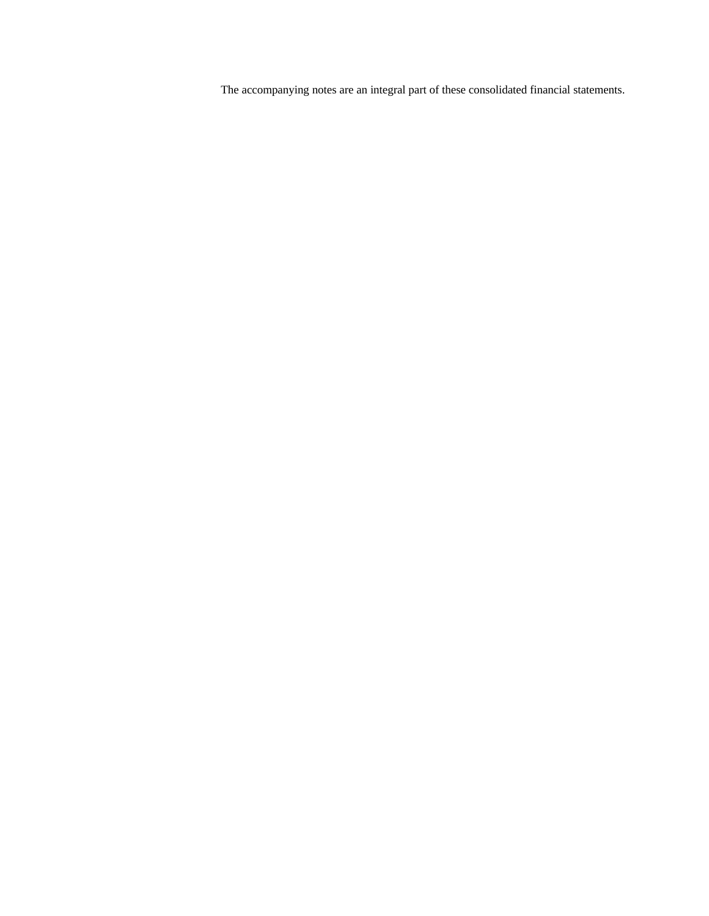The accompanying notes are an integral part of these consolidated financial statements.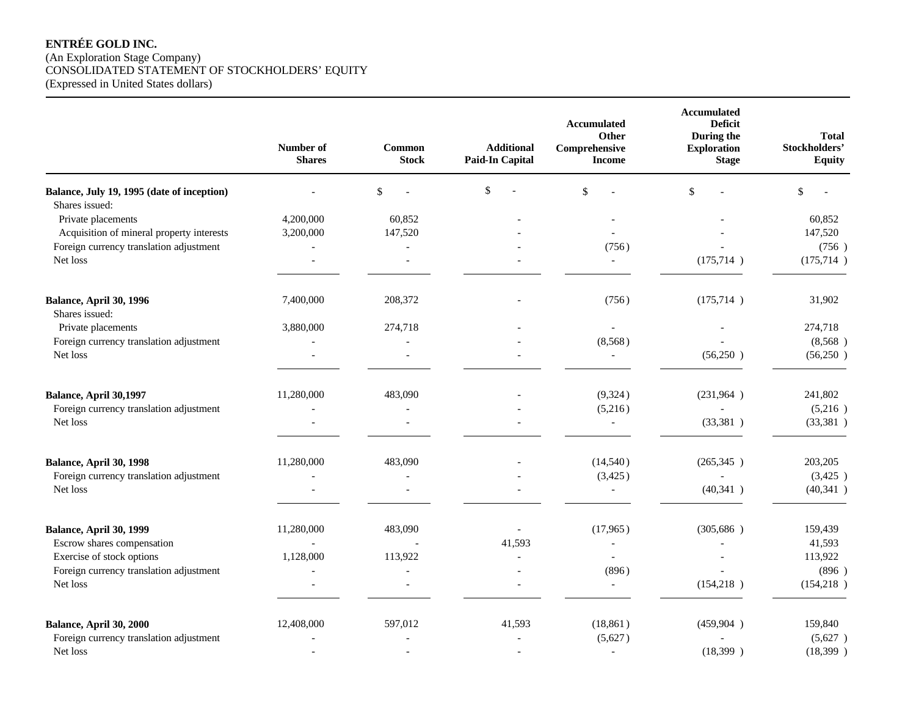## **ENTRÉE GOLD INC.**  (An Exploration Stage Company) CONSOLIDATED STATEMENT OF STOCKHOLDERS' EQUITY (Expressed in United States dollars)

|                                                              | Number of<br><b>Shares</b> | Common<br><b>Stock</b> | <b>Additional</b><br><b>Paid-In Capital</b> | Accumulated<br>Other<br>Comprehensive<br><b>Income</b> | Accumulated<br><b>Deficit</b><br>During the<br><b>Exploration</b><br><b>Stage</b> | <b>Total</b><br>Stockholders'<br><b>Equity</b> |
|--------------------------------------------------------------|----------------------------|------------------------|---------------------------------------------|--------------------------------------------------------|-----------------------------------------------------------------------------------|------------------------------------------------|
| Balance, July 19, 1995 (date of inception)<br>Shares issued: |                            | \$                     | \$                                          | $\$$                                                   | \$                                                                                | \$                                             |
| Private placements                                           | 4,200,000                  | 60,852                 |                                             |                                                        |                                                                                   | 60,852                                         |
| Acquisition of mineral property interests                    | 3,200,000                  | 147,520                |                                             |                                                        |                                                                                   | 147,520                                        |
| Foreign currency translation adjustment                      | $\overline{\phantom{a}}$   |                        |                                             | (756)                                                  |                                                                                   | (756)                                          |
| Net loss                                                     | $\overline{a}$             | $\blacksquare$         |                                             |                                                        | (175, 714)                                                                        | (175, 714)                                     |
| Balance, April 30, 1996<br>Shares issued:                    | 7,400,000                  | 208,372                |                                             | (756)                                                  | (175, 714)                                                                        | 31,902                                         |
| Private placements                                           | 3,880,000                  | 274,718                |                                             | $\overline{\phantom{a}}$                               |                                                                                   | 274,718                                        |
| Foreign currency translation adjustment                      |                            |                        |                                             | (8,568)                                                |                                                                                   | (8,568)                                        |
| Net loss                                                     | $\overline{a}$             | $\overline{a}$         |                                             | $\blacksquare$                                         | (56,250)                                                                          | (56,250)                                       |
| Balance, April 30,1997                                       | 11,280,000                 | 483,090                |                                             | (9, 324)                                               | (231,964)                                                                         | 241,802                                        |
| Foreign currency translation adjustment                      |                            |                        |                                             | (5,216)                                                |                                                                                   | (5,216)                                        |
| Net loss                                                     |                            |                        |                                             | $\mathbb{L}^{\mathbb{N}}$                              | (33,381)                                                                          | (33,381)                                       |
| Balance, April 30, 1998                                      | 11,280,000                 | 483,090                |                                             | (14, 540)                                              | (265, 345)                                                                        | 203,205                                        |
| Foreign currency translation adjustment                      |                            |                        |                                             | (3,425)                                                |                                                                                   | (3,425)                                        |
| Net loss                                                     | $\overline{a}$             | $\overline{a}$         |                                             | $\mathbb{L}^{\mathbb{N}}$                              | (40,341)                                                                          | (40, 341)                                      |
| Balance, April 30, 1999                                      | 11,280,000                 | 483,090                |                                             | (17,965)                                               | (305, 686)                                                                        | 159,439                                        |
| Escrow shares compensation                                   |                            |                        | 41,593                                      |                                                        |                                                                                   | 41,593                                         |
| Exercise of stock options                                    | 1,128,000                  | 113,922                |                                             |                                                        |                                                                                   | 113,922                                        |
| Foreign currency translation adjustment                      |                            |                        |                                             | (896)                                                  |                                                                                   | (896)                                          |
| Net loss                                                     |                            |                        |                                             |                                                        | (154, 218)                                                                        | (154, 218)                                     |
| Balance, April 30, 2000                                      | 12,408,000                 | 597,012                | 41,593                                      | (18, 861)                                              | (459, 904)                                                                        | 159,840                                        |
| Foreign currency translation adjustment                      |                            |                        |                                             | (5,627)                                                |                                                                                   | (5,627)                                        |
| Net loss                                                     | $\overline{\phantom{a}}$   |                        |                                             | $\blacksquare$                                         | (18,399)                                                                          | (18,399)                                       |
|                                                              |                            |                        |                                             |                                                        |                                                                                   |                                                |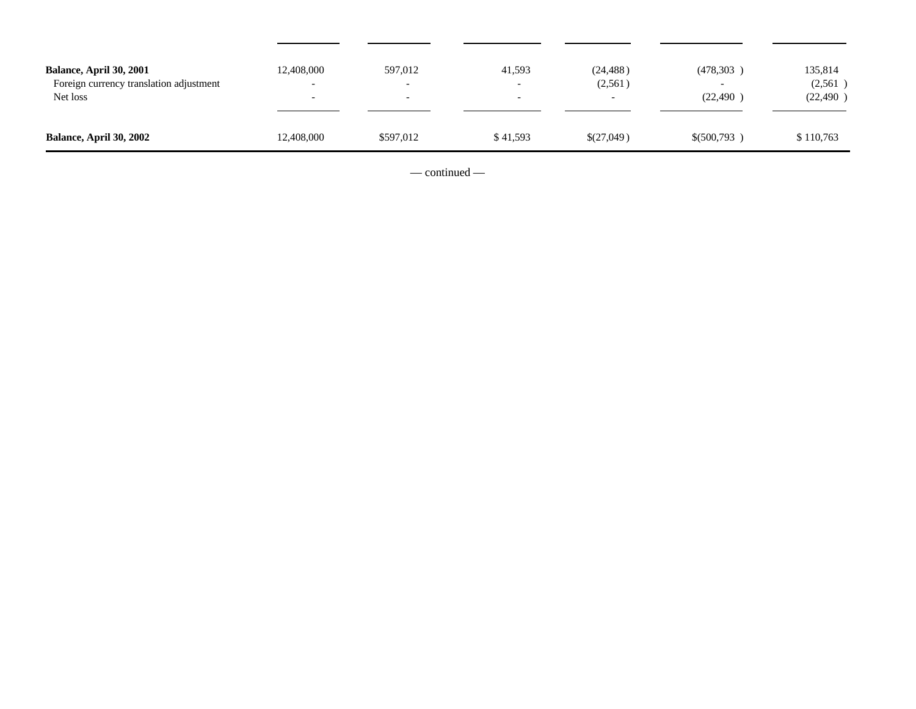| <b>Balance, April 30, 2001</b><br>Foreign currency translation adjustment<br>Net loss | 12,408,000<br>$\sim$<br>$\overline{\phantom{a}}$ | 597,012<br>$\overline{\phantom{0}}$<br>$\overline{\phantom{0}}$ | 41,593<br>$\overline{\phantom{0}}$<br>$\overline{\phantom{0}}$ | (24, 488)<br>(2,561) | (478,303)<br>$\overline{\phantom{0}}$<br>(22, 490) | 135,814<br>(2, 561)<br>(22, 490) |
|---------------------------------------------------------------------------------------|--------------------------------------------------|-----------------------------------------------------------------|----------------------------------------------------------------|----------------------|----------------------------------------------------|----------------------------------|
| <b>Balance, April 30, 2002</b>                                                        | 12,408,000                                       | \$597,012                                                       | \$41,593                                                       | \$(27,049)           | \$ (500, 793)                                      | \$110,763                        |

— continued —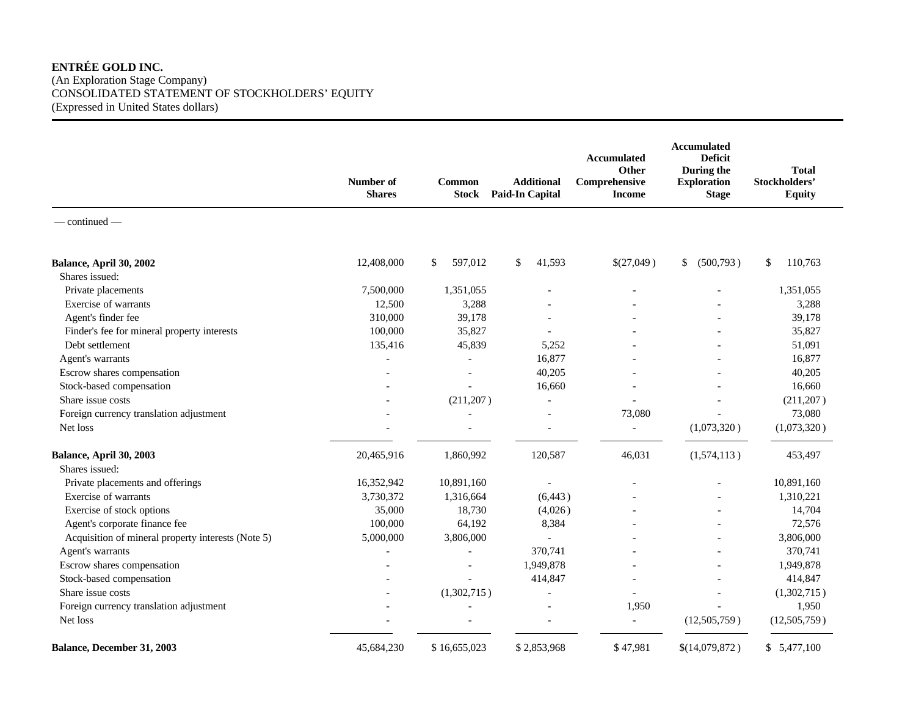## **ENTRÉE GOLD INC.**

(An Exploration Stage Company) CONSOLIDATED STATEMENT OF STOCKHOLDERS' EQUITY (Expressed in United States dollars)

|                                                    | Number of<br><b>Shares</b> | <b>Common</b><br><b>Stock</b> | <b>Additional</b><br><b>Paid-In Capital</b> | <b>Accumulated</b><br>Other<br>Comprehensive<br><b>Income</b> | <b>Accumulated</b><br><b>Deficit</b><br>During the<br><b>Exploration</b><br><b>Stage</b> | <b>Total</b><br>Stockholders'<br><b>Equity</b> |
|----------------------------------------------------|----------------------------|-------------------------------|---------------------------------------------|---------------------------------------------------------------|------------------------------------------------------------------------------------------|------------------------------------------------|
| $-$ continued $-$                                  |                            |                               |                                             |                                                               |                                                                                          |                                                |
| Balance, April 30, 2002                            | 12,408,000                 | \$<br>597,012                 | \$<br>41,593                                | \$(27,049)                                                    | (500, 793)<br>\$                                                                         | \$<br>110,763                                  |
| Shares issued:                                     |                            |                               |                                             |                                                               |                                                                                          |                                                |
| Private placements                                 | 7,500,000                  | 1,351,055                     |                                             |                                                               |                                                                                          | 1,351,055                                      |
| Exercise of warrants                               | 12,500                     | 3,288                         |                                             |                                                               |                                                                                          | 3,288                                          |
| Agent's finder fee                                 | 310,000                    | 39,178                        |                                             |                                                               |                                                                                          | 39,178                                         |
| Finder's fee for mineral property interests        | 100,000                    | 35,827                        |                                             |                                                               |                                                                                          | 35,827                                         |
| Debt settlement                                    | 135,416                    | 45,839                        | 5,252                                       |                                                               |                                                                                          | 51,091                                         |
| Agent's warrants                                   |                            | $\overline{a}$                | 16,877                                      |                                                               |                                                                                          | 16,877                                         |
| Escrow shares compensation                         |                            |                               | 40,205                                      |                                                               |                                                                                          | 40,205                                         |
| Stock-based compensation                           |                            |                               | 16,660                                      |                                                               |                                                                                          | 16,660                                         |
| Share issue costs                                  |                            | (211, 207)                    |                                             |                                                               |                                                                                          | (211, 207)                                     |
| Foreign currency translation adjustment            |                            |                               |                                             | 73,080                                                        |                                                                                          | 73,080                                         |
| Net loss                                           |                            |                               |                                             |                                                               | (1,073,320)                                                                              | (1,073,320)                                    |
| Balance, April 30, 2003                            | 20,465,916                 | 1,860,992                     | 120,587                                     | 46,031                                                        | (1,574,113)                                                                              | 453,497                                        |
| Shares issued:                                     |                            |                               |                                             |                                                               |                                                                                          |                                                |
| Private placements and offerings                   | 16,352,942                 | 10,891,160                    |                                             |                                                               |                                                                                          | 10,891,160                                     |
| Exercise of warrants                               | 3,730,372                  | 1,316,664                     | (6, 443)                                    |                                                               |                                                                                          | 1,310,221                                      |
| Exercise of stock options                          | 35,000                     | 18,730                        | (4,026)                                     |                                                               |                                                                                          | 14,704                                         |
| Agent's corporate finance fee                      | 100,000                    | 64,192                        | 8,384                                       |                                                               | $\overline{\phantom{a}}$                                                                 | 72,576                                         |
| Acquisition of mineral property interests (Note 5) | 5,000,000                  | 3,806,000                     | $\overline{\phantom{a}}$                    |                                                               | $\overline{\phantom{a}}$                                                                 | 3,806,000                                      |
| Agent's warrants                                   |                            |                               | 370,741                                     |                                                               |                                                                                          | 370,741                                        |
| Escrow shares compensation                         |                            |                               | 1,949,878                                   |                                                               |                                                                                          | 1,949,878                                      |
| Stock-based compensation                           |                            |                               | 414,847                                     |                                                               |                                                                                          | 414,847                                        |
| Share issue costs                                  |                            | (1,302,715)                   | $\overline{\phantom{a}}$                    |                                                               |                                                                                          | (1,302,715)                                    |
| Foreign currency translation adjustment            |                            |                               |                                             | 1,950                                                         |                                                                                          | 1,950                                          |
| Net loss                                           |                            |                               |                                             | $\blacksquare$                                                | (12,505,759)                                                                             | (12,505,759)                                   |
| Balance, December 31, 2003                         | 45,684,230                 | \$16,655,023                  | \$2,853,968                                 | \$47,981                                                      | \$(14,079,872)                                                                           | \$5,477,100                                    |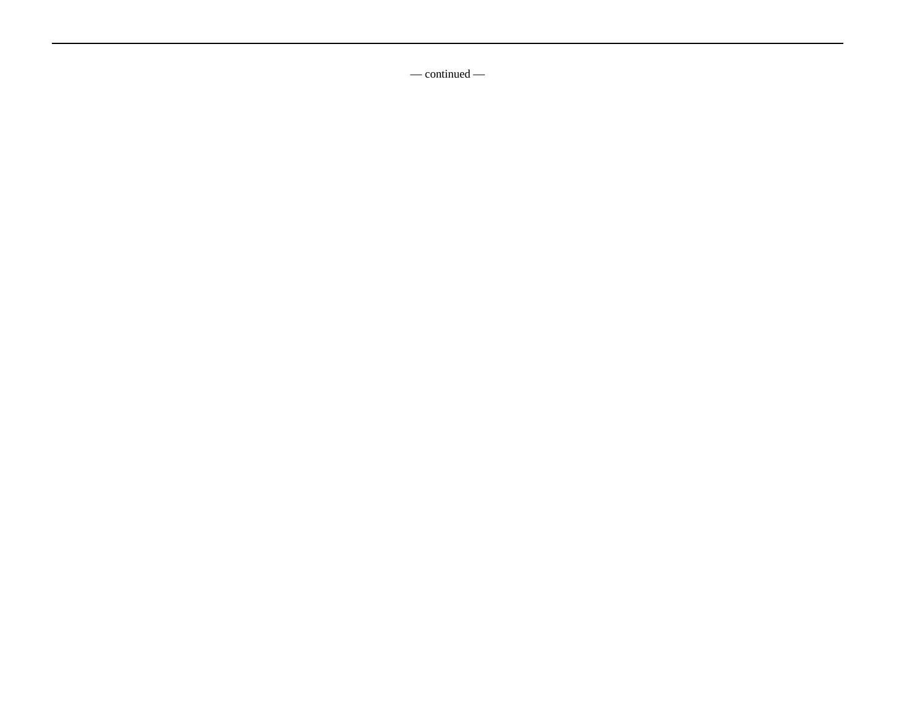— continued —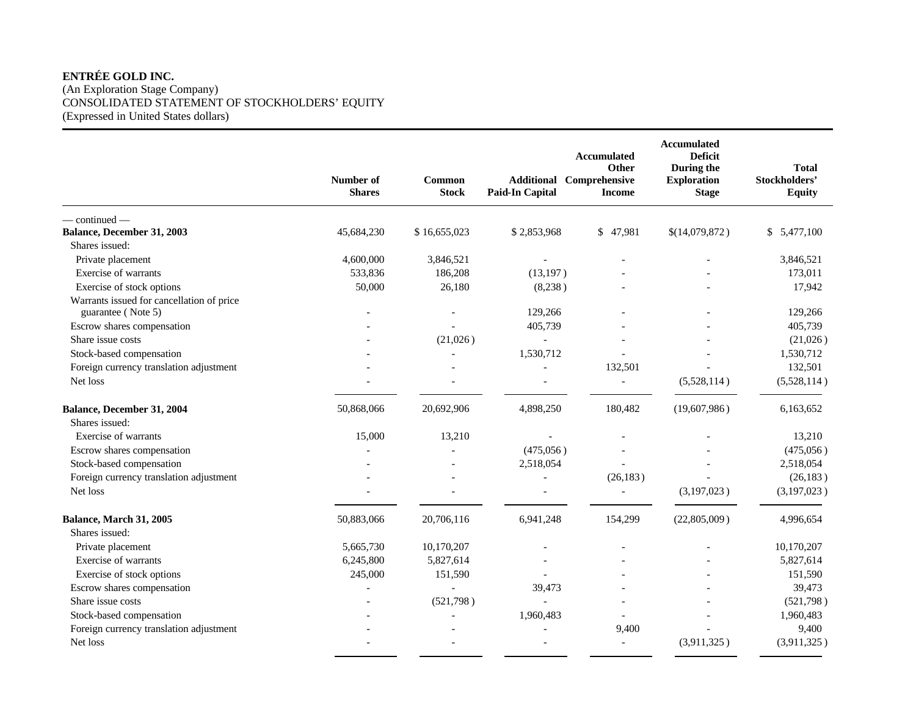# **ENTRÉE GOLD INC.**

(An Exploration Stage Company) CONSOLIDATED STATEMENT OF STOCKHOLDERS' EQUITY (Expressed in United States dollars)

|                                           | Number of<br><b>Shares</b> | Common<br><b>Stock</b> | <b>Additional</b><br><b>Paid-In Capital</b> | <b>Accumulated</b><br>Other<br>Comprehensive<br><b>Income</b> | <b>Accumulated</b><br><b>Deficit</b><br>During the<br><b>Exploration</b><br><b>Stage</b> | <b>Total</b><br>Stockholders'<br><b>Equity</b> |
|-------------------------------------------|----------------------------|------------------------|---------------------------------------------|---------------------------------------------------------------|------------------------------------------------------------------------------------------|------------------------------------------------|
| $-$ continued $-$                         |                            |                        |                                             |                                                               |                                                                                          |                                                |
| Balance, December 31, 2003                | 45,684,230                 | \$16,655,023           | \$2,853,968                                 | \$47,981                                                      | \$(14,079,872)                                                                           | \$5,477,100                                    |
| Shares issued:                            |                            |                        |                                             |                                                               |                                                                                          |                                                |
| Private placement                         | 4,600,000                  | 3,846,521              |                                             |                                                               |                                                                                          | 3,846,521                                      |
| Exercise of warrants                      | 533,836                    | 186,208                | (13, 197)                                   |                                                               |                                                                                          | 173,011                                        |
| Exercise of stock options                 | 50,000                     | 26,180                 | (8,238)                                     |                                                               |                                                                                          | 17,942                                         |
| Warrants issued for cancellation of price |                            |                        |                                             |                                                               |                                                                                          |                                                |
| guarantee (Note 5)                        |                            |                        | 129,266                                     |                                                               |                                                                                          | 129,266                                        |
| Escrow shares compensation                |                            |                        | 405,739                                     |                                                               |                                                                                          | 405,739                                        |
| Share issue costs                         |                            | (21,026)               | $\overline{\phantom{a}}$                    |                                                               |                                                                                          | (21,026)                                       |
| Stock-based compensation                  |                            |                        | 1,530,712                                   |                                                               |                                                                                          | 1,530,712                                      |
| Foreign currency translation adjustment   |                            |                        |                                             | 132,501                                                       |                                                                                          | 132,501                                        |
| Net loss                                  |                            |                        |                                             | $\overline{a}$                                                | (5,528,114)                                                                              | (5,528,114)                                    |
| Balance, December 31, 2004                | 50,868,066                 | 20,692,906             | 4,898,250                                   | 180,482                                                       | (19,607,986)                                                                             | 6,163,652                                      |
| Shares issued:                            |                            |                        |                                             |                                                               |                                                                                          |                                                |
| Exercise of warrants                      | 15,000                     | 13,210                 |                                             |                                                               |                                                                                          | 13,210                                         |
| Escrow shares compensation                |                            |                        | (475,056)                                   |                                                               |                                                                                          | (475,056)                                      |
| Stock-based compensation                  |                            |                        | 2,518,054                                   |                                                               |                                                                                          | 2,518,054                                      |
| Foreign currency translation adjustment   |                            |                        |                                             | (26, 183)                                                     |                                                                                          | (26, 183)                                      |
| Net loss                                  |                            |                        |                                             |                                                               | (3,197,023)                                                                              | (3,197,023)                                    |
| Balance, March 31, 2005                   | 50,883,066                 | 20,706,116             | 6,941,248                                   | 154,299                                                       | (22,805,009)                                                                             | 4,996,654                                      |
| Shares issued:                            |                            |                        |                                             |                                                               |                                                                                          |                                                |
| Private placement                         | 5,665,730                  | 10,170,207             |                                             |                                                               |                                                                                          | 10,170,207                                     |
| Exercise of warrants                      | 6,245,800                  | 5,827,614              |                                             |                                                               |                                                                                          | 5,827,614                                      |
| Exercise of stock options                 | 245,000                    | 151,590                |                                             |                                                               |                                                                                          | 151,590                                        |
| Escrow shares compensation                |                            |                        | 39,473                                      |                                                               |                                                                                          | 39,473                                         |
| Share issue costs                         |                            | (521,798)              |                                             |                                                               |                                                                                          | (521,798)                                      |
| Stock-based compensation                  |                            |                        | 1,960,483                                   |                                                               |                                                                                          | 1,960,483                                      |
| Foreign currency translation adjustment   |                            |                        | $\overline{a}$                              | 9,400                                                         |                                                                                          | 9,400                                          |
| Net loss                                  |                            |                        | $\overline{\phantom{0}}$                    | $\blacksquare$                                                | (3,911,325)                                                                              | (3,911,325)                                    |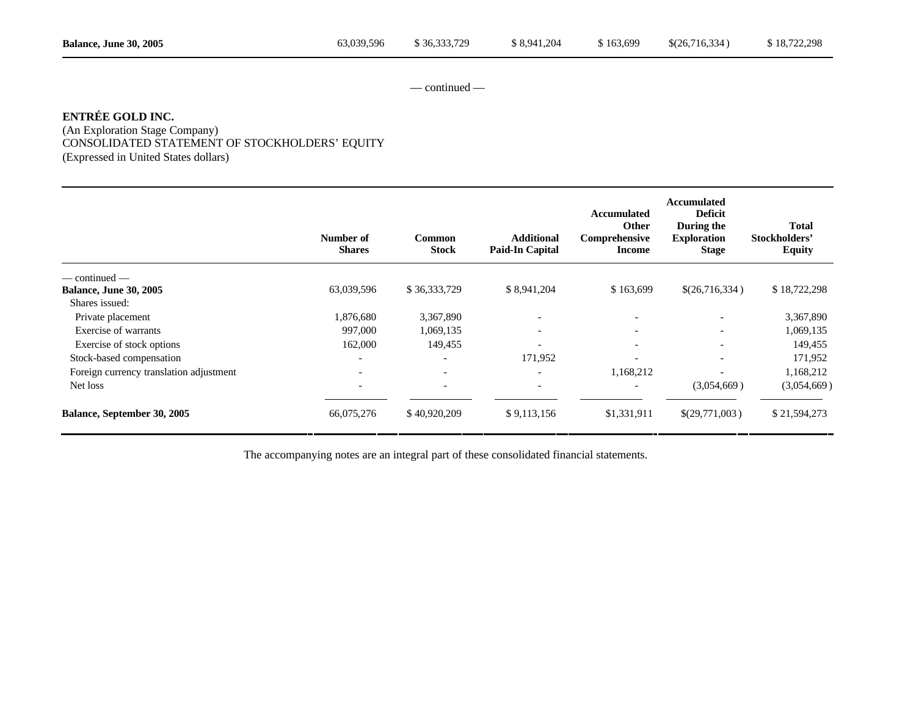— continued —

# **ENTRÉE GOLD INC.**

(An Exploration Stage Company) CONSOLIDATED STATEMENT OF STOCKHOLDERS' EQUITY (Expressed in United States dollars)

|                                         | Number of<br><b>Shares</b> | <b>Common</b><br><b>Stock</b> | <b>Additional</b><br><b>Paid-In Capital</b> | <b>Accumulated</b><br>Other<br>Comprehensive<br><b>Income</b> | Accumulated<br><b>Deficit</b><br>During the<br><b>Exploration</b><br><b>Stage</b> | <b>Total</b><br>Stockholders'<br><b>Equity</b> |
|-----------------------------------------|----------------------------|-------------------------------|---------------------------------------------|---------------------------------------------------------------|-----------------------------------------------------------------------------------|------------------------------------------------|
| — continued —                           |                            |                               |                                             |                                                               |                                                                                   |                                                |
| <b>Balance, June 30, 2005</b>           | 63,039,596                 | \$36,333,729                  | \$8,941,204                                 | \$163,699                                                     | \$(26,716,334)                                                                    | \$18,722,298                                   |
| Shares issued:                          |                            |                               |                                             |                                                               |                                                                                   |                                                |
| Private placement                       | 1,876,680                  | 3,367,890                     | $\overline{\phantom{a}}$                    |                                                               |                                                                                   | 3,367,890                                      |
| Exercise of warrants                    | 997,000                    | 1,069,135                     | $\overline{\phantom{a}}$                    | $\overline{\phantom{a}}$                                      | $\overline{\phantom{0}}$                                                          | 1,069,135                                      |
| Exercise of stock options               | 162,000                    | 149,455                       | $\overline{\phantom{a}}$                    | $\overline{\phantom{a}}$                                      | $\overline{\phantom{a}}$                                                          | 149,455                                        |
| Stock-based compensation                | $\overline{\phantom{a}}$   | $\overline{\phantom{0}}$      | 171,952                                     | $\overline{\phantom{0}}$                                      | $\overline{\phantom{0}}$                                                          | 171,952                                        |
| Foreign currency translation adjustment | $\overline{\phantom{0}}$   | $\overline{\phantom{a}}$      | $\overline{\phantom{a}}$                    | 1,168,212                                                     | $\overline{\phantom{0}}$                                                          | 1,168,212                                      |
| Net loss                                |                            | $\overline{\phantom{a}}$      | $\overline{\phantom{a}}$                    | $\overline{\phantom{a}}$                                      | (3,054,669)                                                                       | (3,054,669)                                    |
| Balance, September 30, 2005             | 66,075,276                 | \$40,920,209                  | \$9,113,156                                 | \$1,331,911                                                   | \$(29,771,003)                                                                    | \$21,594,273                                   |

The accompanying notes are an integral part of these consolidated financial statements.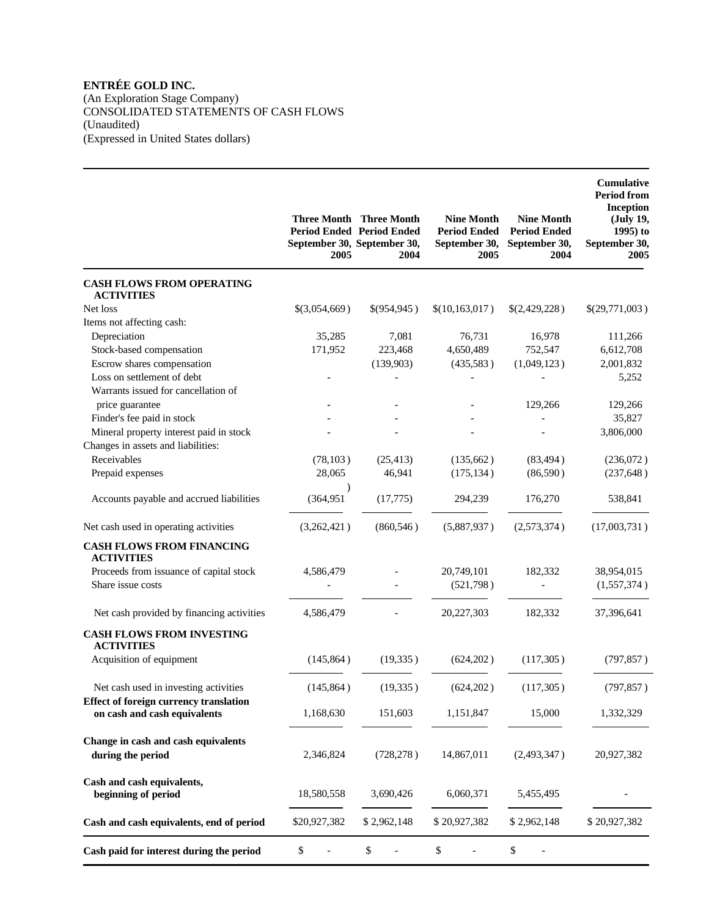## **ENTRÉE GOLD INC.**

(An Exploration Stage Company) CONSOLIDATED STATEMENTS OF CASH FLOWS (Unaudited)

(Expressed in United States dollars)

|                                                                                                 | 2005                    | <b>Three Month Three Month</b><br><b>Period Ended Period Ended</b><br>September 30, September 30,<br>2004 | <b>Nine Month</b><br><b>Period Ended</b><br>September 30,<br>2005 | <b>Nine Month</b><br><b>Period Ended</b><br>September 30,<br>2004 | Cumulative<br><b>Period from</b><br>Inception<br>(July 19,<br>$1995$ ) to<br>September 30,<br>2005 |
|-------------------------------------------------------------------------------------------------|-------------------------|-----------------------------------------------------------------------------------------------------------|-------------------------------------------------------------------|-------------------------------------------------------------------|----------------------------------------------------------------------------------------------------|
| <b>CASH FLOWS FROM OPERATING</b><br><b>ACTIVITIES</b>                                           |                         |                                                                                                           |                                                                   |                                                                   |                                                                                                    |
| Net loss                                                                                        | \$(3,054,669)           | \$(954,945)                                                                                               | \$(10,163,017)                                                    | \$(2,429,228)                                                     | \$(29,771,003)                                                                                     |
| Items not affecting cash:                                                                       |                         |                                                                                                           |                                                                   |                                                                   |                                                                                                    |
| Depreciation                                                                                    | 35,285                  | 7,081                                                                                                     | 76,731                                                            | 16,978                                                            | 111,266                                                                                            |
| Stock-based compensation                                                                        | 171,952                 | 223,468                                                                                                   | 4,650,489                                                         | 752,547                                                           | 6,612,708                                                                                          |
| Escrow shares compensation<br>Loss on settlement of debt<br>Warrants issued for cancellation of |                         | (139,903)                                                                                                 | (435,583)                                                         | (1,049,123)                                                       | 2,001,832<br>5,252                                                                                 |
| price guarantee                                                                                 |                         |                                                                                                           |                                                                   | 129,266                                                           | 129,266                                                                                            |
| Finder's fee paid in stock                                                                      |                         |                                                                                                           |                                                                   |                                                                   | 35,827                                                                                             |
| Mineral property interest paid in stock                                                         |                         |                                                                                                           |                                                                   |                                                                   | 3,806,000                                                                                          |
| Changes in assets and liabilities:                                                              |                         |                                                                                                           |                                                                   |                                                                   |                                                                                                    |
| Receivables                                                                                     | (78, 103)               | (25, 413)                                                                                                 | (135,662)                                                         | (83, 494)                                                         | (236,072)                                                                                          |
| Prepaid expenses                                                                                | 28,065                  | 46,941                                                                                                    | (175, 134)                                                        | (86,590)                                                          | (237, 648)                                                                                         |
| Accounts payable and accrued liabilities                                                        | $\lambda$<br>(364, 951) | (17, 775)                                                                                                 | 294,239                                                           | 176,270                                                           | 538,841                                                                                            |
| Net cash used in operating activities                                                           | (3,262,421)             | (860, 546)                                                                                                | (5,887,937)                                                       | (2,573,374)                                                       | (17,003,731)                                                                                       |
| <b>CASH FLOWS FROM FINANCING</b><br><b>ACTIVITIES</b>                                           |                         |                                                                                                           |                                                                   |                                                                   |                                                                                                    |
| Proceeds from issuance of capital stock                                                         | 4,586,479               |                                                                                                           | 20,749,101                                                        | 182,332                                                           | 38,954,015                                                                                         |
| Share issue costs                                                                               |                         |                                                                                                           | (521,798)                                                         |                                                                   | (1,557,374)                                                                                        |
| Net cash provided by financing activities                                                       | 4,586,479               |                                                                                                           | 20,227,303                                                        | 182,332                                                           | 37,396,641                                                                                         |
| <b>CASH FLOWS FROM INVESTING</b><br><b>ACTIVITIES</b>                                           |                         |                                                                                                           |                                                                   |                                                                   |                                                                                                    |
| Acquisition of equipment                                                                        | (145, 864)              | (19, 335)                                                                                                 | (624, 202)                                                        | (117,305)                                                         | (797, 857)                                                                                         |
| Net cash used in investing activities                                                           | (145, 864)              | (19, 335)                                                                                                 | (624, 202)                                                        | (117,305)                                                         | (797, 857)                                                                                         |
| <b>Effect of foreign currency translation</b><br>on cash and cash equivalents                   | 1,168,630               | 151,603                                                                                                   | 1,151,847                                                         | 15,000                                                            | 1,332,329                                                                                          |
| Change in cash and cash equivalents<br>during the period                                        | 2,346,824               | (728, 278)                                                                                                | 14,867,011                                                        | (2,493,347)                                                       | 20,927,382                                                                                         |
| Cash and cash equivalents,<br>beginning of period                                               | 18,580,558              | 3,690,426                                                                                                 | 6,060,371                                                         | 5,455,495                                                         |                                                                                                    |
| Cash and cash equivalents, end of period                                                        | \$20,927,382            | \$2,962,148                                                                                               | \$20,927,382                                                      | \$2,962,148                                                       | \$20,927,382                                                                                       |
| Cash paid for interest during the period                                                        | \$                      | \$                                                                                                        | \$                                                                | \$                                                                |                                                                                                    |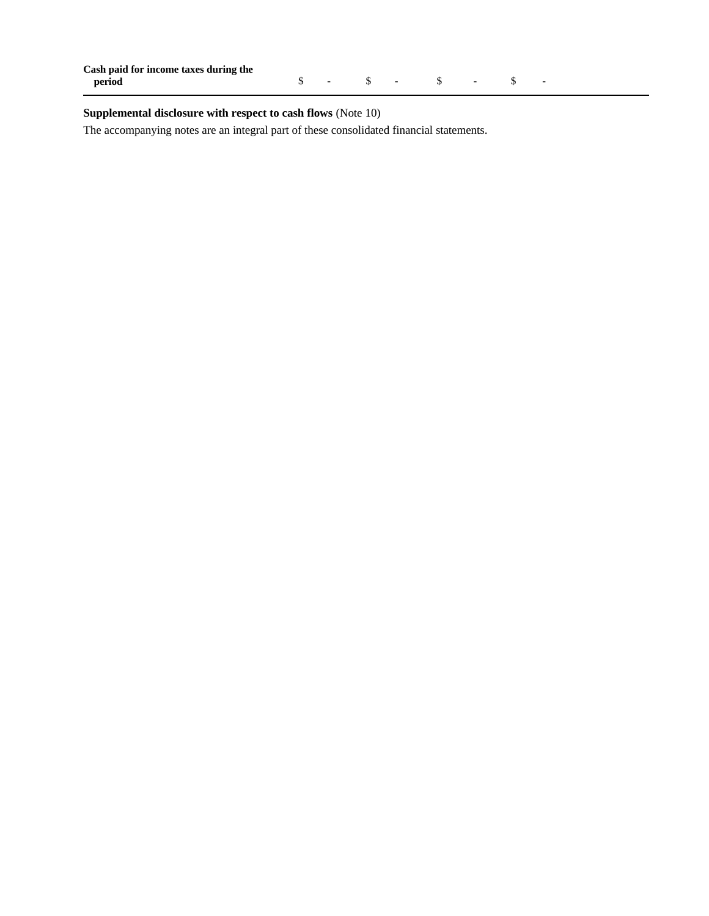| Cash paid for income taxes during the |  |  |  |  |
|---------------------------------------|--|--|--|--|
| period                                |  |  |  |  |

# **Supplemental disclosure with respect to cash flows** (Note 10)

The accompanying notes are an integral part of these consolidated financial statements.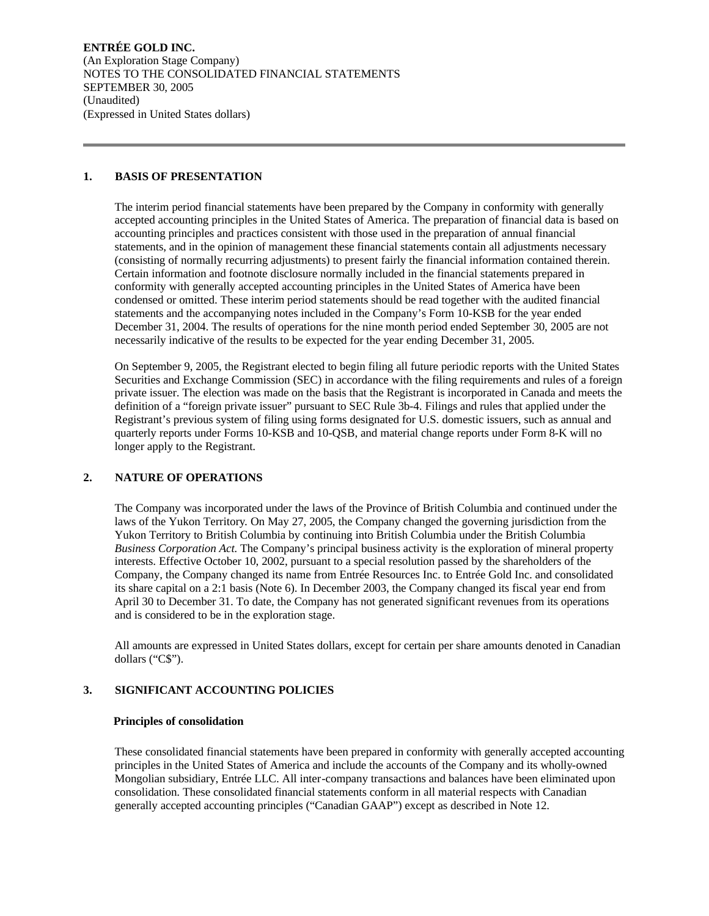#### **1. BASIS OF PRESENTATION**

The interim period financial statements have been prepared by the Company in conformity with generally accepted accounting principles in the United States of America. The preparation of financial data is based on accounting principles and practices consistent with those used in the preparation of annual financial statements, and in the opinion of management these financial statements contain all adjustments necessary (consisting of normally recurring adjustments) to present fairly the financial information contained therein. Certain information and footnote disclosure normally included in the financial statements prepared in conformity with generally accepted accounting principles in the United States of America have been condensed or omitted. These interim period statements should be read together with the audited financial statements and the accompanying notes included in the Company's Form 10-KSB for the year ended December 31, 2004. The results of operations for the nine month period ended September 30, 2005 are not necessarily indicative of the results to be expected for the year ending December 31, 2005.

On September 9, 2005, the Registrant elected to begin filing all future periodic reports with the United States Securities and Exchange Commission (SEC) in accordance with the filing requirements and rules of a foreign private issuer. The election was made on the basis that the Registrant is incorporated in Canada and meets the definition of a "foreign private issuer" pursuant to SEC Rule 3b-4. Filings and rules that applied under the Registrant's previous system of filing using forms designated for U.S. domestic issuers, such as annual and quarterly reports under Forms 10-KSB and 10-QSB, and material change reports under Form 8-K will no longer apply to the Registrant.

## **2. NATURE OF OPERATIONS**

The Company was incorporated under the laws of the Province of British Columbia and continued under the laws of the Yukon Territory. On May 27, 2005, the Company changed the governing jurisdiction from the Yukon Territory to British Columbia by continuing into British Columbia under the British Columbia *Business Corporation Act.* The Company's principal business activity is the exploration of mineral property interests. Effective October 10, 2002, pursuant to a special resolution passed by the shareholders of the Company, the Company changed its name from Entrée Resources Inc. to Entrée Gold Inc. and consolidated its share capital on a 2:1 basis (Note 6). In December 2003, the Company changed its fiscal year end from April 30 to December 31. To date, the Company has not generated significant revenues from its operations and is considered to be in the exploration stage.

All amounts are expressed in United States dollars, except for certain per share amounts denoted in Canadian dollars ("C\$").

## **3. SIGNIFICANT ACCOUNTING POLICIES**

#### **Principles of consolidation**

These consolidated financial statements have been prepared in conformity with generally accepted accounting principles in the United States of America and include the accounts of the Company and its wholly-owned Mongolian subsidiary, Entrée LLC. All inter-company transactions and balances have been eliminated upon consolidation. These consolidated financial statements conform in all material respects with Canadian generally accepted accounting principles ("Canadian GAAP") except as described in Note 12.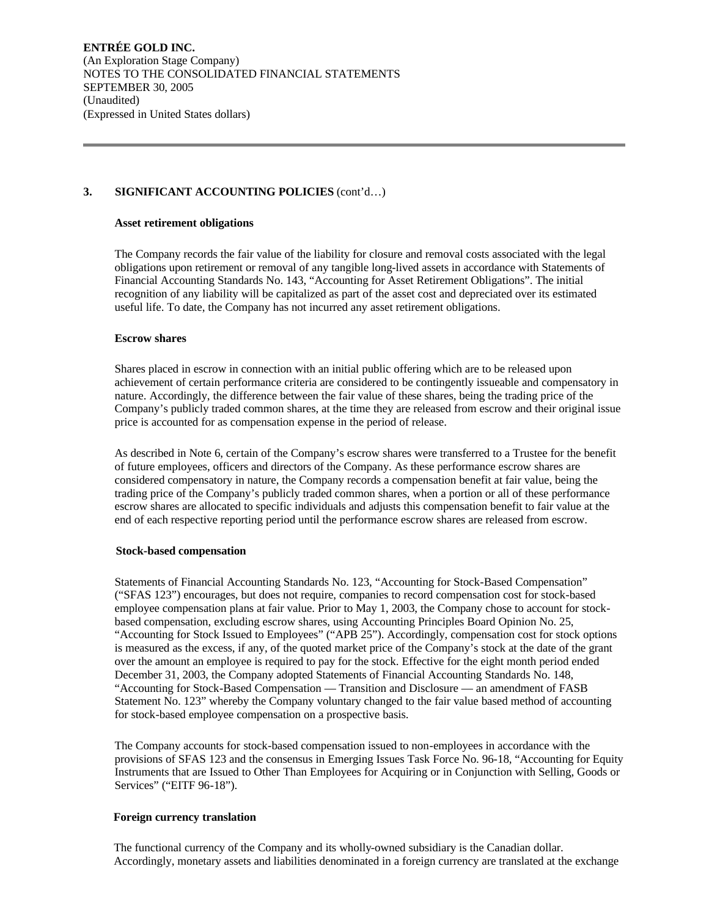## **3. SIGNIFICANT ACCOUNTING POLICIES** (cont'd…)

### **Asset retirement obligations**

The Company records the fair value of the liability for closure and removal costs associated with the legal obligations upon retirement or removal of any tangible long-lived assets in accordance with Statements of Financial Accounting Standards No. 143, "Accounting for Asset Retirement Obligations". The initial recognition of any liability will be capitalized as part of the asset cost and depreciated over its estimated useful life. To date, the Company has not incurred any asset retirement obligations.

### **Escrow shares**

Shares placed in escrow in connection with an initial public offering which are to be released upon achievement of certain performance criteria are considered to be contingently issueable and compensatory in nature. Accordingly, the difference between the fair value of these shares, being the trading price of the Company's publicly traded common shares, at the time they are released from escrow and their original issue price is accounted for as compensation expense in the period of release.

As described in Note 6, certain of the Company's escrow shares were transferred to a Trustee for the benefit of future employees, officers and directors of the Company. As these performance escrow shares are considered compensatory in nature, the Company records a compensation benefit at fair value, being the trading price of the Company's publicly traded common shares, when a portion or all of these performance escrow shares are allocated to specific individuals and adjusts this compensation benefit to fair value at the end of each respective reporting period until the performance escrow shares are released from escrow.

## **Stock-based compensation**

Statements of Financial Accounting Standards No. 123, "Accounting for Stock-Based Compensation" ("SFAS 123") encourages, but does not require, companies to record compensation cost for stock-based employee compensation plans at fair value. Prior to May 1, 2003, the Company chose to account for stockbased compensation, excluding escrow shares, using Accounting Principles Board Opinion No. 25, "Accounting for Stock Issued to Employees" ("APB 25"). Accordingly, compensation cost for stock options is measured as the excess, if any, of the quoted market price of the Company's stock at the date of the grant over the amount an employee is required to pay for the stock. Effective for the eight month period ended December 31, 2003, the Company adopted Statements of Financial Accounting Standards No. 148, "Accounting for Stock-Based Compensation — Transition and Disclosure — an amendment of FASB Statement No. 123" whereby the Company voluntary changed to the fair value based method of accounting for stock-based employee compensation on a prospective basis.

The Company accounts for stock-based compensation issued to non-employees in accordance with the provisions of SFAS 123 and the consensus in Emerging Issues Task Force No. 96-18, "Accounting for Equity Instruments that are Issued to Other Than Employees for Acquiring or in Conjunction with Selling, Goods or Services" ("EITF 96-18").

## **Foreign currency translation**

The functional currency of the Company and its wholly-owned subsidiary is the Canadian dollar. Accordingly, monetary assets and liabilities denominated in a foreign currency are translated at the exchange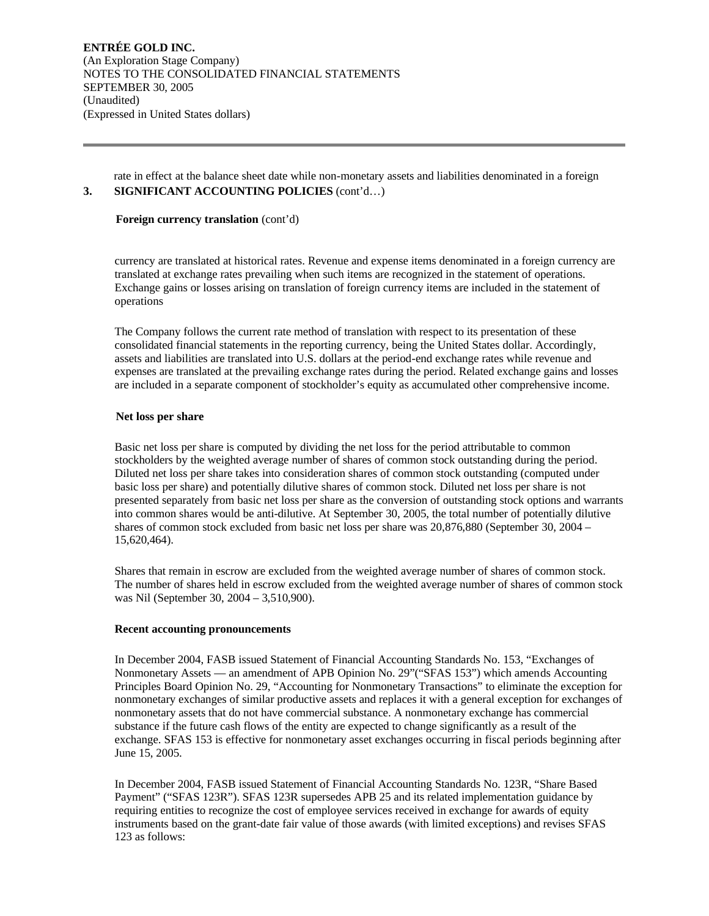rate in effect at the balance sheet date while non-monetary assets and liabilities denominated in a foreign **3. SIGNIFICANT ACCOUNTING POLICIES** (cont'd…)

#### **Foreign currency translation** (cont'd)

currency are translated at historical rates. Revenue and expense items denominated in a foreign currency are translated at exchange rates prevailing when such items are recognized in the statement of operations. Exchange gains or losses arising on translation of foreign currency items are included in the statement of operations

The Company follows the current rate method of translation with respect to its presentation of these consolidated financial statements in the reporting currency, being the United States dollar. Accordingly, assets and liabilities are translated into U.S. dollars at the period-end exchange rates while revenue and expenses are translated at the prevailing exchange rates during the period. Related exchange gains and losses are included in a separate component of stockholder's equity as accumulated other comprehensive income.

### **Net loss per share**

Basic net loss per share is computed by dividing the net loss for the period attributable to common stockholders by the weighted average number of shares of common stock outstanding during the period. Diluted net loss per share takes into consideration shares of common stock outstanding (computed under basic loss per share) and potentially dilutive shares of common stock. Diluted net loss per share is not presented separately from basic net loss per share as the conversion of outstanding stock options and warrants into common shares would be anti-dilutive. At September 30, 2005, the total number of potentially dilutive shares of common stock excluded from basic net loss per share was 20,876,880 (September 30, 2004 – 15,620,464).

Shares that remain in escrow are excluded from the weighted average number of shares of common stock. The number of shares held in escrow excluded from the weighted average number of shares of common stock was Nil (September 30, 2004 – 3,510,900).

## **Recent accounting pronouncements**

In December 2004, FASB issued Statement of Financial Accounting Standards No. 153, "Exchanges of Nonmonetary Assets — an amendment of APB Opinion No. 29"("SFAS 153") which amends Accounting Principles Board Opinion No. 29, "Accounting for Nonmonetary Transactions" to eliminate the exception for nonmonetary exchanges of similar productive assets and replaces it with a general exception for exchanges of nonmonetary assets that do not have commercial substance. A nonmonetary exchange has commercial substance if the future cash flows of the entity are expected to change significantly as a result of the exchange. SFAS 153 is effective for nonmonetary asset exchanges occurring in fiscal periods beginning after June 15, 2005.

In December 2004, FASB issued Statement of Financial Accounting Standards No. 123R, "Share Based Payment" ("SFAS 123R"). SFAS 123R supersedes APB 25 and its related implementation guidance by requiring entities to recognize the cost of employee services received in exchange for awards of equity instruments based on the grant-date fair value of those awards (with limited exceptions) and revises SFAS 123 as follows: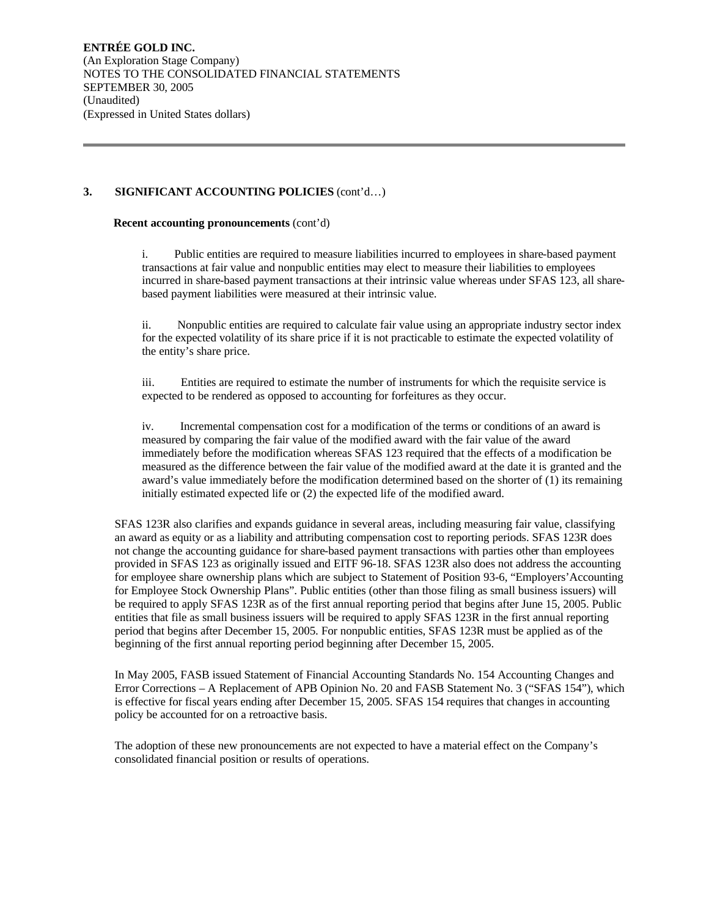## **3. SIGNIFICANT ACCOUNTING POLICIES** (cont'd…)

#### **Recent accounting pronouncements** (cont'd)

i. Public entities are required to measure liabilities incurred to employees in share-based payment transactions at fair value and nonpublic entities may elect to measure their liabilities to employees incurred in share-based payment transactions at their intrinsic value whereas under SFAS 123, all sharebased payment liabilities were measured at their intrinsic value.

ii. Nonpublic entities are required to calculate fair value using an appropriate industry sector index for the expected volatility of its share price if it is not practicable to estimate the expected volatility of the entity's share price.

iii. Entities are required to estimate the number of instruments for which the requisite service is expected to be rendered as opposed to accounting for forfeitures as they occur.

iv. Incremental compensation cost for a modification of the terms or conditions of an award is measured by comparing the fair value of the modified award with the fair value of the award immediately before the modification whereas SFAS 123 required that the effects of a modification be measured as the difference between the fair value of the modified award at the date it is granted and the award's value immediately before the modification determined based on the shorter of (1) its remaining initially estimated expected life or (2) the expected life of the modified award.

SFAS 123R also clarifies and expands guidance in several areas, including measuring fair value, classifying an award as equity or as a liability and attributing compensation cost to reporting periods. SFAS 123R does not change the accounting guidance for share-based payment transactions with parties other than employees provided in SFAS 123 as originally issued and EITF 96-18. SFAS 123R also does not address the accounting for employee share ownership plans which are subject to Statement of Position 93-6, "Employers'Accounting for Employee Stock Ownership Plans". Public entities (other than those filing as small business issuers) will be required to apply SFAS 123R as of the first annual reporting period that begins after June 15, 2005. Public entities that file as small business issuers will be required to apply SFAS 123R in the first annual reporting period that begins after December 15, 2005. For nonpublic entities, SFAS 123R must be applied as of the beginning of the first annual reporting period beginning after December 15, 2005.

In May 2005, FASB issued Statement of Financial Accounting Standards No. 154 Accounting Changes and Error Corrections – A Replacement of APB Opinion No. 20 and FASB Statement No. 3 ("SFAS 154"), which is effective for fiscal years ending after December 15, 2005. SFAS 154 requires that changes in accounting policy be accounted for on a retroactive basis.

The adoption of these new pronouncements are not expected to have a material effect on the Company's consolidated financial position or results of operations.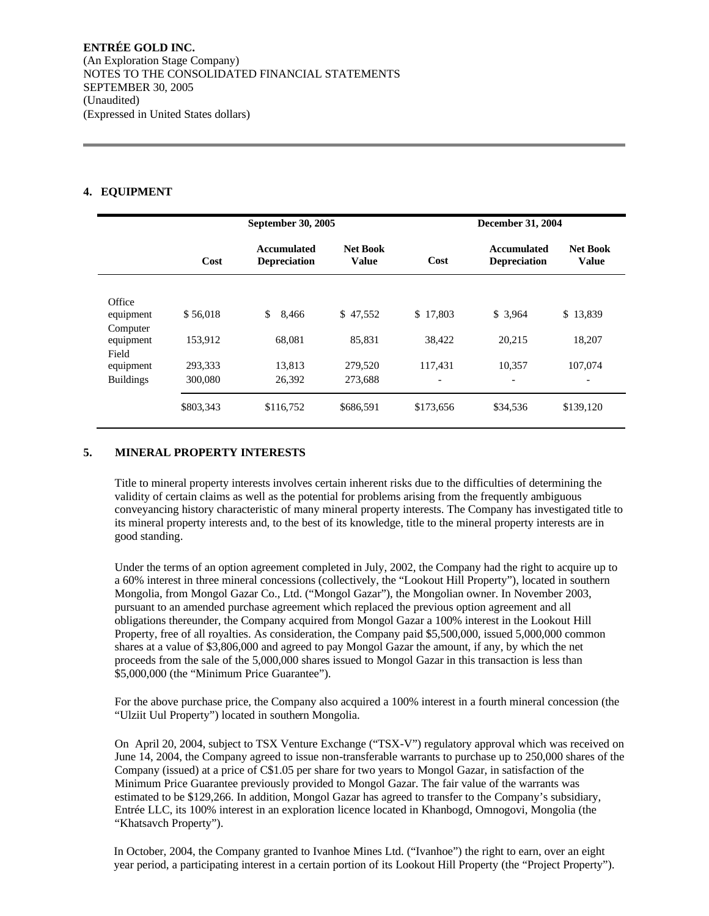## **4. EQUIPMENT**

|                  |           | September 30, 2005                        |                                 |                          | <b>December 31, 2004</b>                  |                                 |
|------------------|-----------|-------------------------------------------|---------------------------------|--------------------------|-------------------------------------------|---------------------------------|
|                  | Cost      | <b>Accumulated</b><br><b>Depreciation</b> | <b>Net Book</b><br><b>Value</b> | Cost                     | <b>Accumulated</b><br><b>Depreciation</b> | <b>Net Book</b><br><b>Value</b> |
| Office           |           |                                           |                                 |                          |                                           |                                 |
| equipment        | \$56,018  | \$<br>8,466                               | \$47,552                        | \$17,803                 | \$3,964                                   | \$13,839                        |
| Computer         |           |                                           |                                 |                          |                                           |                                 |
| equipment        | 153,912   | 68.081                                    | 85,831                          | 38,422                   | 20.215                                    | 18.207                          |
| Field            |           |                                           |                                 |                          |                                           |                                 |
| equipment        | 293,333   | 13.813                                    | 279,520                         | 117.431                  | 10.357                                    | 107,074                         |
| <b>Buildings</b> | 300,080   | 26,392                                    | 273,688                         | $\overline{\phantom{a}}$ | $\overline{\phantom{a}}$                  | $\overline{\phantom{a}}$        |
|                  | \$803,343 | \$116,752                                 | \$686,591                       | \$173,656                | \$34,536                                  | \$139,120                       |

## **5. MINERAL PROPERTY INTERESTS**

Title to mineral property interests involves certain inherent risks due to the difficulties of determining the validity of certain claims as well as the potential for problems arising from the frequently ambiguous conveyancing history characteristic of many mineral property interests. The Company has investigated title to its mineral property interests and, to the best of its knowledge, title to the mineral property interests are in good standing.

Under the terms of an option agreement completed in July, 2002, the Company had the right to acquire up to a 60% interest in three mineral concessions (collectively, the "Lookout Hill Property"), located in southern Mongolia, from Mongol Gazar Co., Ltd. ("Mongol Gazar"), the Mongolian owner. In November 2003, pursuant to an amended purchase agreement which replaced the previous option agreement and all obligations thereunder, the Company acquired from Mongol Gazar a 100% interest in the Lookout Hill Property, free of all royalties. As consideration, the Company paid \$5,500,000, issued 5,000,000 common shares at a value of \$3,806,000 and agreed to pay Mongol Gazar the amount, if any, by which the net proceeds from the sale of the 5,000,000 shares issued to Mongol Gazar in this transaction is less than \$5,000,000 (the "Minimum Price Guarantee").

For the above purchase price, the Company also acquired a 100% interest in a fourth mineral concession (the "Ulziit Uul Property") located in southern Mongolia.

On April 20, 2004, subject to TSX Venture Exchange ("TSX-V") regulatory approval which was received on June 14, 2004, the Company agreed to issue non-transferable warrants to purchase up to 250,000 shares of the Company (issued) at a price of C\$1.05 per share for two years to Mongol Gazar, in satisfaction of the Minimum Price Guarantee previously provided to Mongol Gazar. The fair value of the warrants was estimated to be \$129,266. In addition, Mongol Gazar has agreed to transfer to the Company's subsidiary, Entrée LLC, its 100% interest in an exploration licence located in Khanbogd, Omnogovi, Mongolia (the "Khatsavch Property").

In October, 2004, the Company granted to Ivanhoe Mines Ltd. ("Ivanhoe") the right to earn, over an eight year period, a participating interest in a certain portion of its Lookout Hill Property (the "Project Property").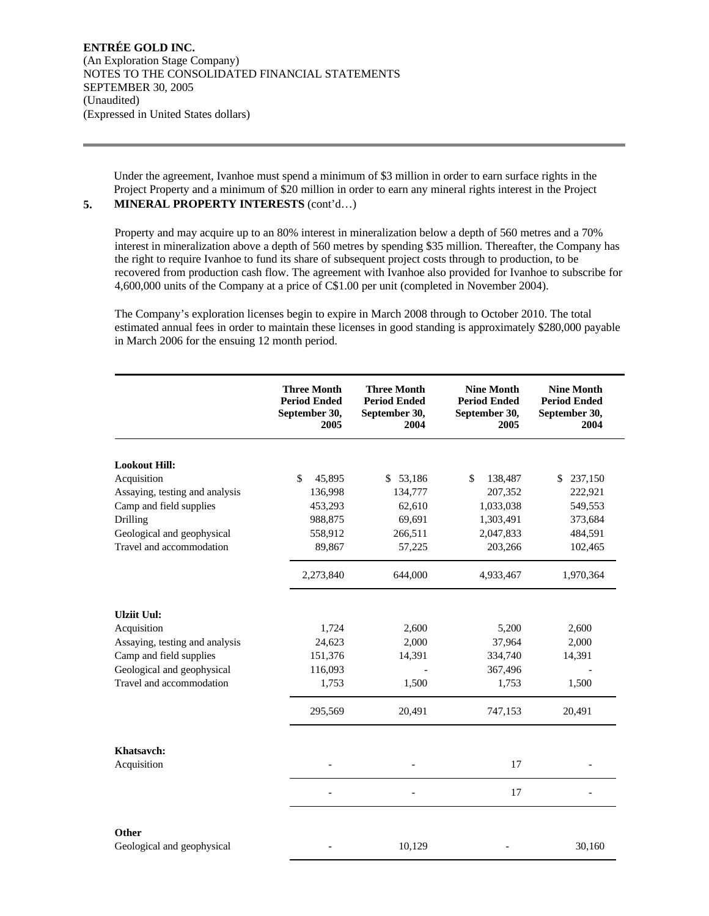Under the agreement, Ivanhoe must spend a minimum of \$3 million in order to earn surface rights in the Project Property and a minimum of \$20 million in order to earn any mineral rights interest in the Project

# **5. MINERAL PROPERTY INTERESTS** (cont'd…)

Property and may acquire up to an 80% interest in mineralization below a depth of 560 metres and a 70% interest in mineralization above a depth of 560 metres by spending \$35 million. Thereafter, the Company has the right to require Ivanhoe to fund its share of subsequent project costs through to production, to be recovered from production cash flow. The agreement with Ivanhoe also provided for Ivanhoe to subscribe for 4,600,000 units of the Company at a price of C\$1.00 per unit (completed in November 2004).

The Company's exploration licenses begin to expire in March 2008 through to October 2010. The total estimated annual fees in order to maintain these licenses in good standing is approximately \$280,000 payable in March 2006 for the ensuing 12 month period.

|                                | <b>Three Month</b><br><b>Period Ended</b><br>September 30,<br>2005 | <b>Three Month</b><br><b>Period Ended</b><br>September 30,<br>2004 | <b>Nine Month</b><br><b>Period Ended</b><br>September 30,<br>2005 | <b>Nine Month</b><br><b>Period Ended</b><br>September 30,<br>2004 |
|--------------------------------|--------------------------------------------------------------------|--------------------------------------------------------------------|-------------------------------------------------------------------|-------------------------------------------------------------------|
| <b>Lookout Hill:</b>           |                                                                    |                                                                    |                                                                   |                                                                   |
| Acquisition                    | \$<br>45,895                                                       | \$53,186                                                           | \$<br>138,487                                                     | 237,150<br>\$                                                     |
| Assaying, testing and analysis | 136,998                                                            | 134,777                                                            | 207,352                                                           | 222,921                                                           |
| Camp and field supplies        | 453,293                                                            | 62,610                                                             | 1,033,038                                                         | 549,553                                                           |
| Drilling                       | 988,875                                                            | 69,691                                                             | 1,303,491                                                         | 373,684                                                           |
| Geological and geophysical     | 558,912                                                            | 266,511                                                            | 2,047,833                                                         | 484,591                                                           |
| Travel and accommodation       | 89,867                                                             | 57,225                                                             | 203,266                                                           | 102,465                                                           |
|                                | 2,273,840                                                          | 644,000                                                            | 4,933,467                                                         | 1,970,364                                                         |
| <b>Ulziit Uul:</b>             |                                                                    |                                                                    |                                                                   |                                                                   |
| Acquisition                    | 1,724                                                              | 2,600                                                              | 5,200                                                             | 2,600                                                             |
| Assaying, testing and analysis | 24,623                                                             | 2,000                                                              | 37,964                                                            | 2,000                                                             |
| Camp and field supplies        | 151,376                                                            | 14,391                                                             | 334,740                                                           | 14,391                                                            |
| Geological and geophysical     | 116,093                                                            |                                                                    | 367,496                                                           |                                                                   |
| Travel and accommodation       | 1,753                                                              | 1,500                                                              | 1,753                                                             | 1,500                                                             |
|                                | 295,569                                                            | 20,491                                                             | 747,153                                                           | 20,491                                                            |
| Khatsavch:                     |                                                                    |                                                                    |                                                                   |                                                                   |
| Acquisition                    |                                                                    |                                                                    | 17                                                                |                                                                   |
|                                |                                                                    |                                                                    | 17                                                                |                                                                   |
| Other                          |                                                                    |                                                                    |                                                                   |                                                                   |
| Geological and geophysical     |                                                                    | 10,129                                                             |                                                                   | 30,160                                                            |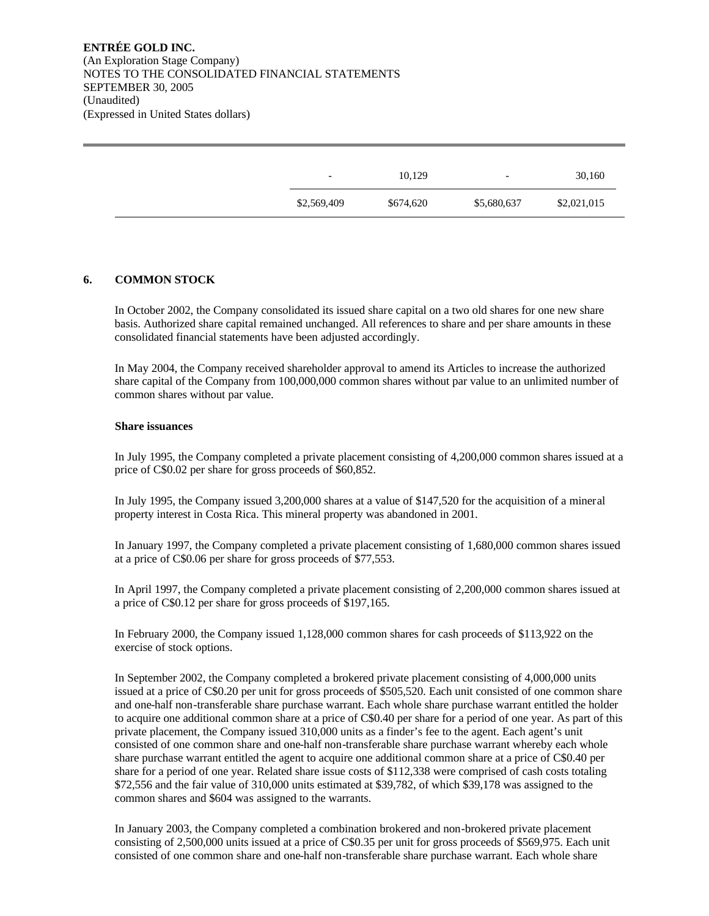| $\overline{\phantom{a}}$ |
|--------------------------|
| \$2,569,409              |

## **6. COMMON STOCK**

In October 2002, the Company consolidated its issued share capital on a two old shares for one new share basis. Authorized share capital remained unchanged. All references to share and per share amounts in these consolidated financial statements have been adjusted accordingly.

In May 2004, the Company received shareholder approval to amend its Articles to increase the authorized share capital of the Company from 100,000,000 common shares without par value to an unlimited number of common shares without par value.

#### **Share issuances**

In July 1995, the Company completed a private placement consisting of 4,200,000 common shares issued at a price of C\$0.02 per share for gross proceeds of \$60,852.

In July 1995, the Company issued 3,200,000 shares at a value of \$147,520 for the acquisition of a mineral property interest in Costa Rica. This mineral property was abandoned in 2001.

In January 1997, the Company completed a private placement consisting of 1,680,000 common shares issued at a price of C\$0.06 per share for gross proceeds of \$77,553.

In April 1997, the Company completed a private placement consisting of 2,200,000 common shares issued at a price of C\$0.12 per share for gross proceeds of \$197,165.

In February 2000, the Company issued 1,128,000 common shares for cash proceeds of \$113,922 on the exercise of stock options.

In September 2002, the Company completed a brokered private placement consisting of 4,000,000 units issued at a price of C\$0.20 per unit for gross proceeds of \$505,520. Each unit consisted of one common share and one-half non-transferable share purchase warrant. Each whole share purchase warrant entitled the holder to acquire one additional common share at a price of C\$0.40 per share for a period of one year. As part of this private placement, the Company issued 310,000 units as a finder's fee to the agent. Each agent's unit consisted of one common share and one-half non-transferable share purchase warrant whereby each whole share purchase warrant entitled the agent to acquire one additional common share at a price of C\$0.40 per share for a period of one year. Related share issue costs of \$112,338 were comprised of cash costs totaling \$72,556 and the fair value of 310,000 units estimated at \$39,782, of which \$39,178 was assigned to the common shares and \$604 was assigned to the warrants.

In January 2003, the Company completed a combination brokered and non-brokered private placement consisting of 2,500,000 units issued at a price of C\$0.35 per unit for gross proceeds of \$569,975. Each unit consisted of one common share and one-half non-transferable share purchase warrant. Each whole share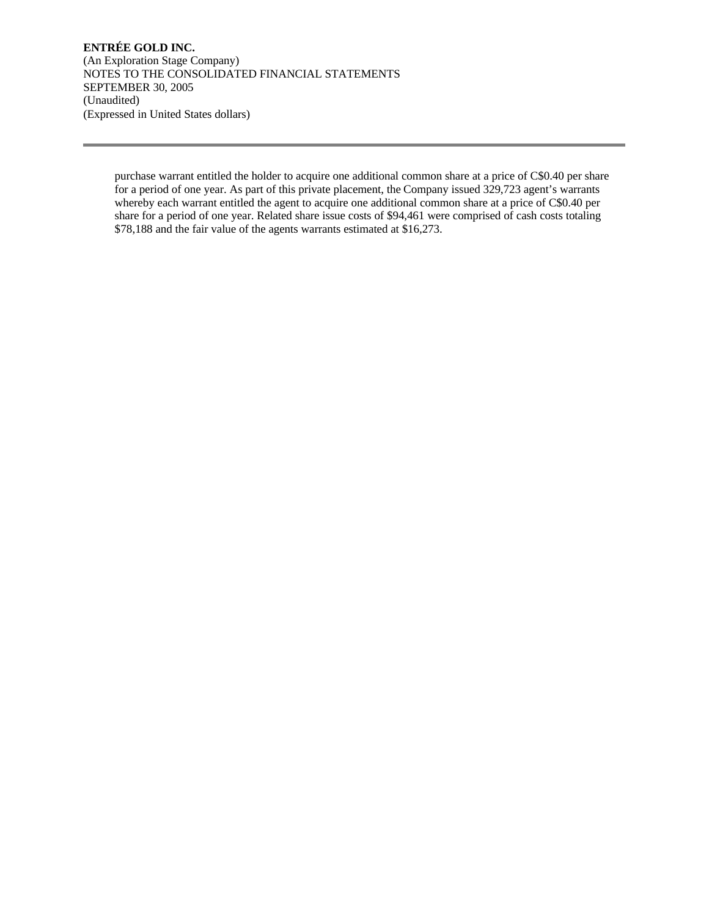purchase warrant entitled the holder to acquire one additional common share at a price of C\$0.40 per share for a period of one year. As part of this private placement, the Company issued 329,723 agent's warrants whereby each warrant entitled the agent to acquire one additional common share at a price of C\$0.40 per share for a period of one year. Related share issue costs of \$94,461 were comprised of cash costs totaling \$78,188 and the fair value of the agents warrants estimated at \$16,273.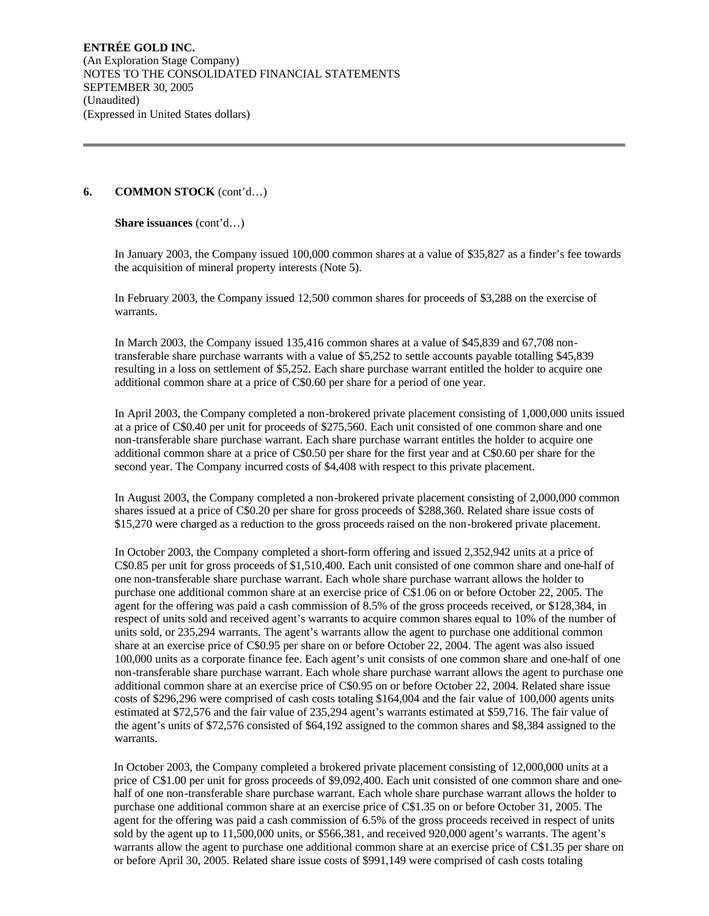### **6. COMMON STOCK** (cont'd…)

**Share issuances** (cont'd…)

In January 2003, the Company issued 100,000 common shares at a value of \$35,827 as a finder's fee towards the acquisition of mineral property interests (Note 5).

In February 2003, the Company issued 12,500 common shares for proceeds of \$3,288 on the exercise of warrants.

In March 2003, the Company issued 135,416 common shares at a value of \$45,839 and 67,708 nontransferable share purchase warrants with a value of \$5,252 to settle accounts payable totalling \$45,839 resulting in a loss on settlement of \$5,252. Each share purchase warrant entitled the holder to acquire one additional common share at a price of C\$0.60 per share for a period of one year.

In April 2003, the Company completed a non-brokered private placement consisting of 1,000,000 units issued at a price of C\$0.40 per unit for proceeds of \$275,560. Each unit consisted of one common share and one non-transferable share purchase warrant. Each share purchase warrant entitles the holder to acquire one additional common share at a price of C\$0.50 per share for the first year and at C\$0.60 per share for the second year. The Company incurred costs of \$4,408 with respect to this private placement.

In August 2003, the Company completed a non-brokered private placement consisting of 2,000,000 common shares issued at a price of C\$0.20 per share for gross proceeds of \$288,360. Related share issue costs of \$15,270 were charged as a reduction to the gross proceeds raised on the non-brokered private placement.

In October 2003, the Company completed a short-form offering and issued 2,352,942 units at a price of C\$0.85 per unit for gross proceeds of \$1,510,400. Each unit consisted of one common share and one-half of one non-transferable share purchase warrant. Each whole share purchase warrant allows the holder to purchase one additional common share at an exercise price of C\$1.06 on or before October 22, 2005. The agent for the offering was paid a cash commission of 8.5% of the gross proceeds received, or \$128,384, in respect of units sold and received agent's warrants to acquire common shares equal to 10% of the number of units sold, or 235,294 warrants. The agent's warrants allow the agent to purchase one additional common share at an exercise price of C\$0.95 per share on or before October 22, 2004. The agent was also issued 100,000 units as a corporate finance fee. Each agent's unit consists of one common share and one-half of one non-transferable share purchase warrant. Each whole share purchase warrant allows the agent to purchase one additional common share at an exercise price of C\$0.95 on or before October 22, 2004. Related share issue costs of \$296,296 were comprised of cash costs totaling \$164,004 and the fair value of 100,000 agents units estimated at \$72,576 and the fair value of 235,294 agent's warrants estimated at \$59,716. The fair value of the agent's units of \$72,576 consisted of \$64,192 assigned to the common shares and \$8,384 assigned to the warrants.

In October 2003, the Company completed a brokered private placement consisting of 12,000,000 units at a price of C\$1.00 per unit for gross proceeds of \$9,092,400. Each unit consisted of one common share and onehalf of one non-transferable share purchase warrant. Each whole share purchase warrant allows the holder to purchase one additional common share at an exercise price of C\$1.35 on or before October 31, 2005. The agent for the offering was paid a cash commission of 6.5% of the gross proceeds received in respect of units sold by the agent up to 11,500,000 units, or \$566,381, and received 920,000 agent's warrants. The agent's warrants allow the agent to purchase one additional common share at an exercise price of C\$1.35 per share on or before April 30, 2005. Related share issue costs of \$991,149 were comprised of cash costs totaling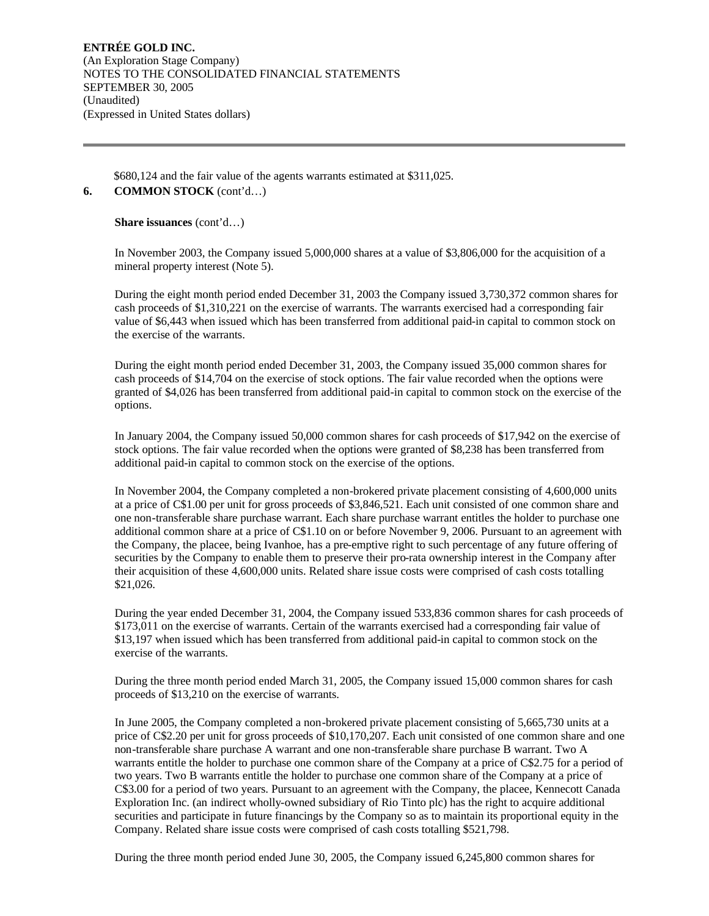\$680,124 and the fair value of the agents warrants estimated at \$311,025.

## **6. COMMON STOCK** (cont'd…)

**Share issuances** (cont'd…)

In November 2003, the Company issued 5,000,000 shares at a value of \$3,806,000 for the acquisition of a mineral property interest (Note 5).

During the eight month period ended December 31, 2003 the Company issued 3,730,372 common shares for cash proceeds of \$1,310,221 on the exercise of warrants. The warrants exercised had a corresponding fair value of \$6,443 when issued which has been transferred from additional paid-in capital to common stock on the exercise of the warrants.

During the eight month period ended December 31, 2003, the Company issued 35,000 common shares for cash proceeds of \$14,704 on the exercise of stock options. The fair value recorded when the options were granted of \$4,026 has been transferred from additional paid-in capital to common stock on the exercise of the options.

In January 2004, the Company issued 50,000 common shares for cash proceeds of \$17,942 on the exercise of stock options. The fair value recorded when the options were granted of \$8,238 has been transferred from additional paid-in capital to common stock on the exercise of the options.

In November 2004, the Company completed a non-brokered private placement consisting of 4,600,000 units at a price of C\$1.00 per unit for gross proceeds of \$3,846,521. Each unit consisted of one common share and one non-transferable share purchase warrant. Each share purchase warrant entitles the holder to purchase one additional common share at a price of C\$1.10 on or before November 9, 2006. Pursuant to an agreement with the Company, the placee, being Ivanhoe, has a pre-emptive right to such percentage of any future offering of securities by the Company to enable them to preserve their pro-rata ownership interest in the Company after their acquisition of these 4,600,000 units. Related share issue costs were comprised of cash costs totalling \$21,026.

During the year ended December 31, 2004, the Company issued 533,836 common shares for cash proceeds of \$173,011 on the exercise of warrants. Certain of the warrants exercised had a corresponding fair value of \$13,197 when issued which has been transferred from additional paid-in capital to common stock on the exercise of the warrants.

During the three month period ended March 31, 2005, the Company issued 15,000 common shares for cash proceeds of \$13,210 on the exercise of warrants.

In June 2005, the Company completed a non-brokered private placement consisting of 5,665,730 units at a price of C\$2.20 per unit for gross proceeds of \$10,170,207. Each unit consisted of one common share and one non-transferable share purchase A warrant and one non-transferable share purchase B warrant. Two A warrants entitle the holder to purchase one common share of the Company at a price of C\$2.75 for a period of two years. Two B warrants entitle the holder to purchase one common share of the Company at a price of C\$3.00 for a period of two years. Pursuant to an agreement with the Company, the placee, Kennecott Canada Exploration Inc. (an indirect wholly-owned subsidiary of Rio Tinto plc) has the right to acquire additional securities and participate in future financings by the Company so as to maintain its proportional equity in the Company. Related share issue costs were comprised of cash costs totalling \$521,798.

During the three month period ended June 30, 2005, the Company issued 6,245,800 common shares for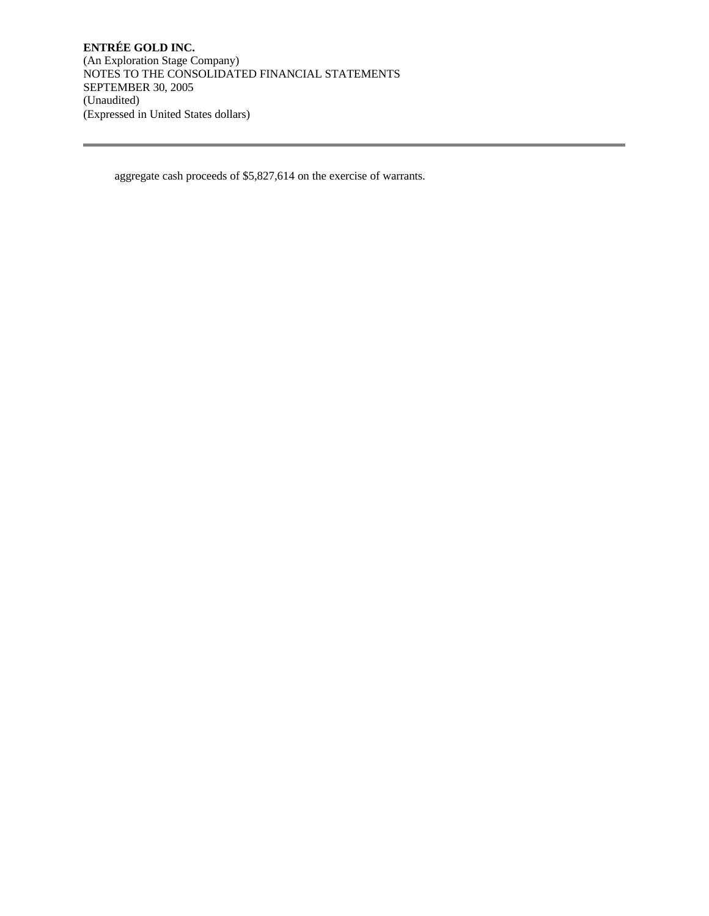aggregate cash proceeds of \$5,827,614 on the exercise of warrants.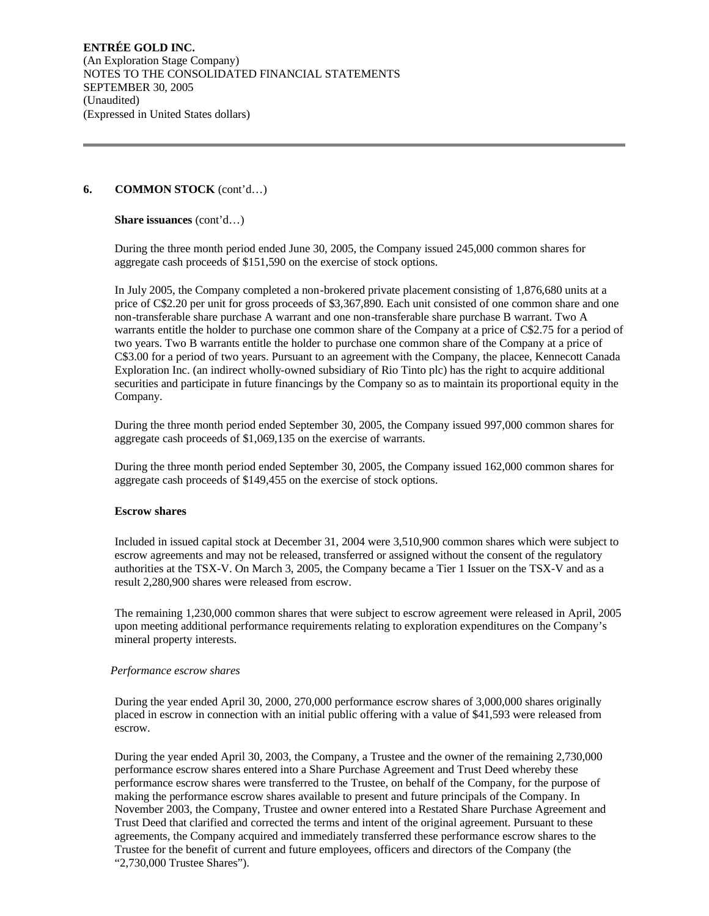## **6. COMMON STOCK** (cont'd…)

**Share issuances** (cont'd…)

During the three month period ended June 30, 2005, the Company issued 245,000 common shares for aggregate cash proceeds of \$151,590 on the exercise of stock options.

In July 2005, the Company completed a non-brokered private placement consisting of 1,876,680 units at a price of C\$2.20 per unit for gross proceeds of \$3,367,890. Each unit consisted of one common share and one non-transferable share purchase A warrant and one non-transferable share purchase B warrant. Two A warrants entitle the holder to purchase one common share of the Company at a price of C\$2.75 for a period of two years. Two B warrants entitle the holder to purchase one common share of the Company at a price of C\$3.00 for a period of two years. Pursuant to an agreement with the Company, the placee, Kennecott Canada Exploration Inc. (an indirect wholly-owned subsidiary of Rio Tinto plc) has the right to acquire additional securities and participate in future financings by the Company so as to maintain its proportional equity in the Company.

During the three month period ended September 30, 2005, the Company issued 997,000 common shares for aggregate cash proceeds of \$1,069,135 on the exercise of warrants.

During the three month period ended September 30, 2005, the Company issued 162,000 common shares for aggregate cash proceeds of \$149,455 on the exercise of stock options.

#### **Escrow shares**

Included in issued capital stock at December 31, 2004 were 3,510,900 common shares which were subject to escrow agreements and may not be released, transferred or assigned without the consent of the regulatory authorities at the TSX-V. On March 3, 2005, the Company became a Tier 1 Issuer on the TSX-V and as a result 2,280,900 shares were released from escrow.

The remaining 1,230,000 common shares that were subject to escrow agreement were released in April, 2005 upon meeting additional performance requirements relating to exploration expenditures on the Company's mineral property interests.

#### *Performance escrow shares*

During the year ended April 30, 2000, 270,000 performance escrow shares of 3,000,000 shares originally placed in escrow in connection with an initial public offering with a value of \$41,593 were released from escrow.

During the year ended April 30, 2003, the Company, a Trustee and the owner of the remaining 2,730,000 performance escrow shares entered into a Share Purchase Agreement and Trust Deed whereby these performance escrow shares were transferred to the Trustee, on behalf of the Company, for the purpose of making the performance escrow shares available to present and future principals of the Company. In November 2003, the Company, Trustee and owner entered into a Restated Share Purchase Agreement and Trust Deed that clarified and corrected the terms and intent of the original agreement. Pursuant to these agreements, the Company acquired and immediately transferred these performance escrow shares to the Trustee for the benefit of current and future employees, officers and directors of the Company (the "2,730,000 Trustee Shares").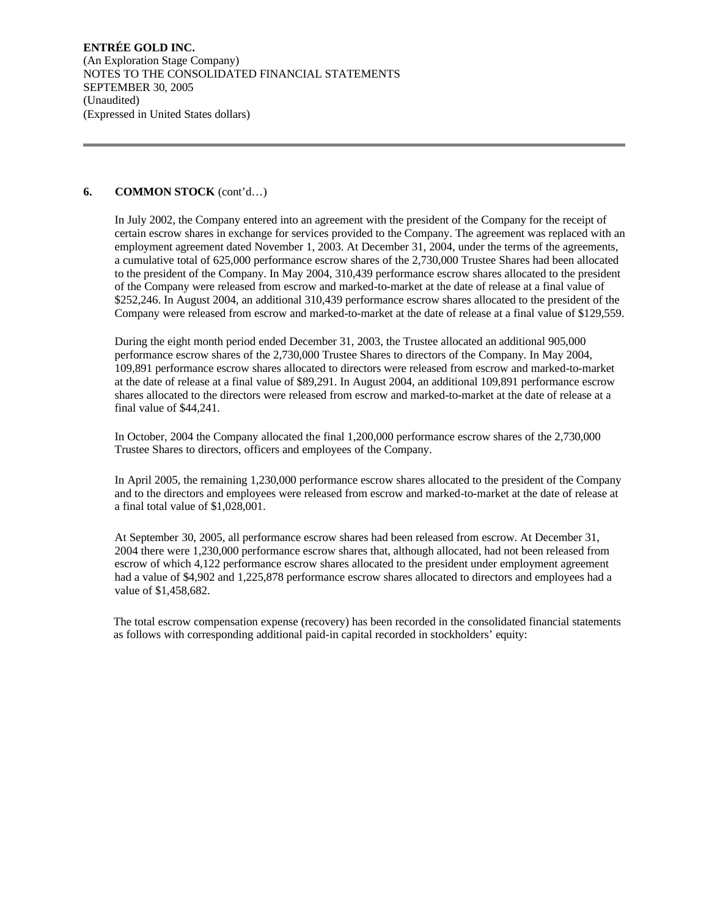#### **6. COMMON STOCK** (cont'd…)

In July 2002, the Company entered into an agreement with the president of the Company for the receipt of certain escrow shares in exchange for services provided to the Company. The agreement was replaced with an employment agreement dated November 1, 2003. At December 31, 2004, under the terms of the agreements, a cumulative total of 625,000 performance escrow shares of the 2,730,000 Trustee Shares had been allocated to the president of the Company. In May 2004, 310,439 performance escrow shares allocated to the president of the Company were released from escrow and marked-to-market at the date of release at a final value of \$252,246. In August 2004, an additional 310,439 performance escrow shares allocated to the president of the Company were released from escrow and marked-to-market at the date of release at a final value of \$129,559.

During the eight month period ended December 31, 2003, the Trustee allocated an additional 905,000 performance escrow shares of the 2,730,000 Trustee Shares to directors of the Company. In May 2004, 109,891 performance escrow shares allocated to directors were released from escrow and marked-to-market at the date of release at a final value of \$89,291. In August 2004, an additional 109,891 performance escrow shares allocated to the directors were released from escrow and marked-to-market at the date of release at a final value of \$44,241.

In October, 2004 the Company allocated the final 1,200,000 performance escrow shares of the 2,730,000 Trustee Shares to directors, officers and employees of the Company.

In April 2005, the remaining 1,230,000 performance escrow shares allocated to the president of the Company and to the directors and employees were released from escrow and marked-to-market at the date of release at a final total value of \$1,028,001.

At September 30, 2005, all performance escrow shares had been released from escrow. At December 31, 2004 there were 1,230,000 performance escrow shares that, although allocated, had not been released from escrow of which 4,122 performance escrow shares allocated to the president under employment agreement had a value of \$4,902 and 1,225,878 performance escrow shares allocated to directors and employees had a value of \$1,458,682.

The total escrow compensation expense (recovery) has been recorded in the consolidated financial statements as follows with corresponding additional paid-in capital recorded in stockholders' equity: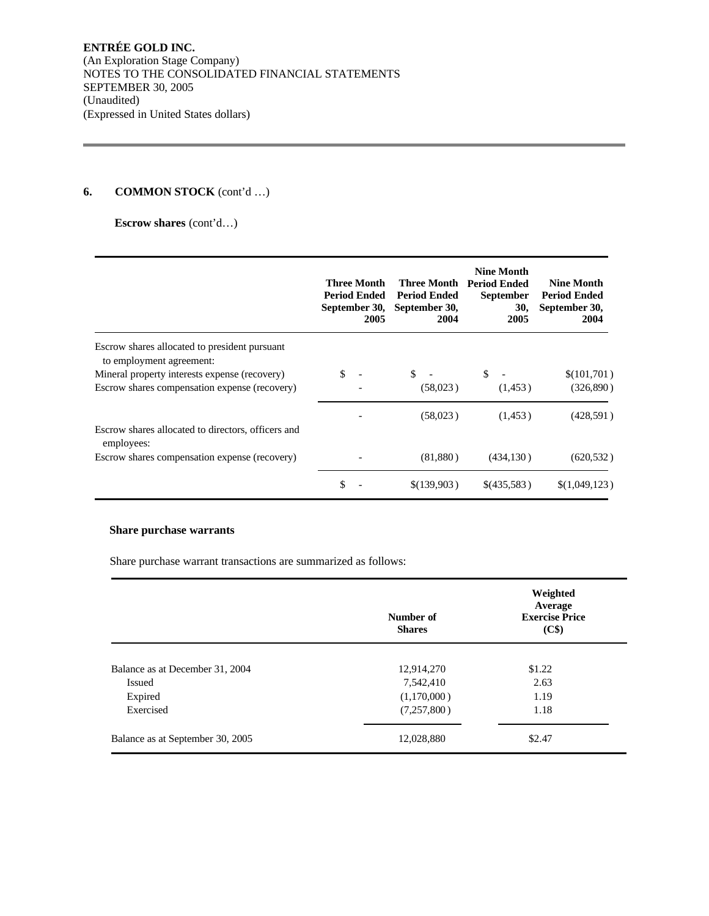## **6. COMMON STOCK** (cont'd …)

**Escrow shares** (cont'd…)

|                                                                           | <b>Three Month</b><br><b>Period Ended</b><br>September 30,<br>2005 | Three Month<br><b>Period Ended</b><br>September 30,<br>2004 | <b>Nine Month</b><br><b>Period Ended</b><br><b>September</b><br>30,<br>2005 | <b>Nine Month</b><br><b>Period Ended</b><br>September 30,<br>2004 |
|---------------------------------------------------------------------------|--------------------------------------------------------------------|-------------------------------------------------------------|-----------------------------------------------------------------------------|-------------------------------------------------------------------|
| Escrow shares allocated to president pursuant<br>to employment agreement: |                                                                    |                                                             |                                                                             |                                                                   |
| Mineral property interests expense (recovery)                             | \$                                                                 | S.                                                          | \$                                                                          | \$(101,701)                                                       |
| Escrow shares compensation expense (recovery)                             |                                                                    | (58,023)                                                    | (1, 453)                                                                    | (326, 890)                                                        |
|                                                                           |                                                                    | (58,023)                                                    | (1, 453)                                                                    | (428, 591)                                                        |
| Escrow shares allocated to directors, officers and<br>employees:          |                                                                    |                                                             |                                                                             |                                                                   |
| Escrow shares compensation expense (recovery)                             |                                                                    | (81,880)                                                    | (434, 130)                                                                  | (620, 532)                                                        |
|                                                                           | \$                                                                 | \$(139,903)                                                 | \$(435,583)                                                                 | \$(1,049,123)                                                     |

## **Share purchase warrants**

Share purchase warrant transactions are summarized as follows:

|                                  | Number of<br><b>Shares</b> | Weighted<br>Average<br><b>Exercise Price</b><br>(C\$) |
|----------------------------------|----------------------------|-------------------------------------------------------|
| Balance as at December 31, 2004  | 12,914,270                 | \$1.22                                                |
| Issued                           | 7,542,410                  | 2.63                                                  |
| Expired                          | (1,170,000)                | 1.19                                                  |
| Exercised                        | (7,257,800)                | 1.18                                                  |
| Balance as at September 30, 2005 | 12,028,880                 | \$2.47                                                |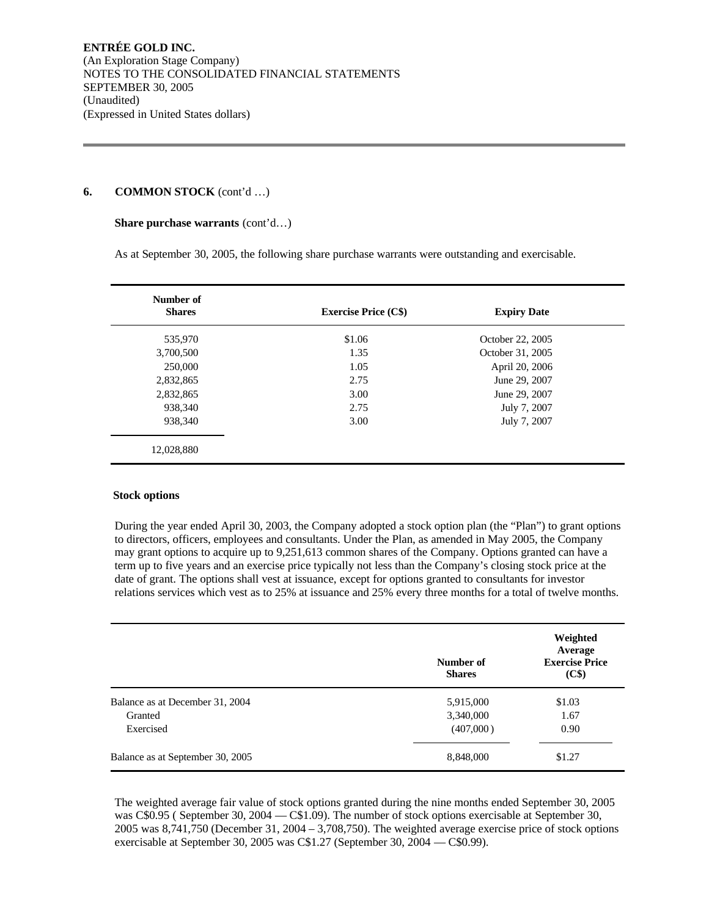#### **6. COMMON STOCK** (cont'd …)

#### **Share purchase warrants** (cont'd…)

As at September 30, 2005, the following share purchase warrants were outstanding and exercisable.

| Number of<br><b>Shares</b> | <b>Exercise Price (C\$)</b> | <b>Expiry Date</b> |  |
|----------------------------|-----------------------------|--------------------|--|
| 535,970                    | \$1.06                      | October 22, 2005   |  |
| 3,700,500                  | 1.35                        | October 31, 2005   |  |
| 250,000                    | 1.05                        | April 20, 2006     |  |
| 2,832,865                  | 2.75                        | June 29, 2007      |  |
| 2,832,865                  | 3.00                        | June 29, 2007      |  |
| 938,340                    | 2.75                        | July 7, 2007       |  |
| 938.340                    | 3.00                        | July 7, 2007       |  |
| 12,028,880                 |                             |                    |  |

#### **Stock options**

During the year ended April 30, 2003, the Company adopted a stock option plan (the "Plan") to grant options to directors, officers, employees and consultants. Under the Plan, as amended in May 2005, the Company may grant options to acquire up to 9,251,613 common shares of the Company. Options granted can have a term up to five years and an exercise price typically not less than the Company's closing stock price at the date of grant. The options shall vest at issuance, except for options granted to consultants for investor relations services which vest as to 25% at issuance and 25% every three months for a total of twelve months.

|                                  | Number of<br><b>Shares</b> | Weighted<br>Average<br><b>Exercise Price</b><br>(C\$) |
|----------------------------------|----------------------------|-------------------------------------------------------|
| Balance as at December 31, 2004  | 5,915,000                  | \$1.03                                                |
| Granted                          | 3,340,000                  | 1.67                                                  |
| Exercised                        | (407,000)                  | 0.90                                                  |
| Balance as at September 30, 2005 | 8,848,000                  | \$1.27                                                |

The weighted average fair value of stock options granted during the nine months ended September 30, 2005 was C\$0.95 ( September 30, 2004 — C\$1.09). The number of stock options exercisable at September 30, 2005 was 8,741,750 (December 31, 2004 – 3,708,750). The weighted average exercise price of stock options exercisable at September 30, 2005 was C\$1.27 (September 30, 2004 — C\$0.99).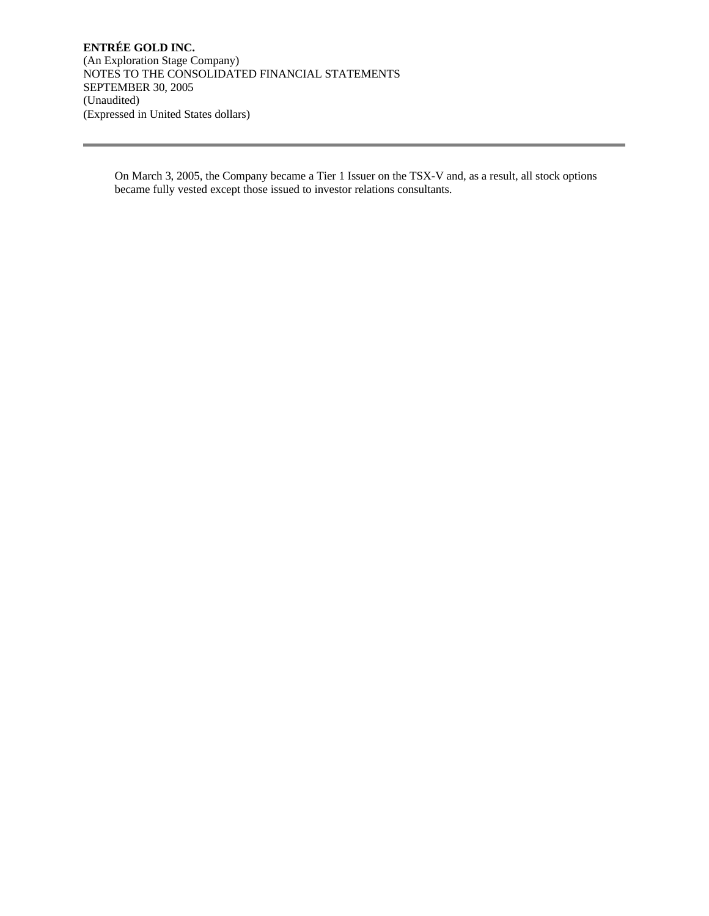On March 3, 2005, the Company became a Tier 1 Issuer on the TSX-V and, as a result, all stock options became fully vested except those issued to investor relations consultants.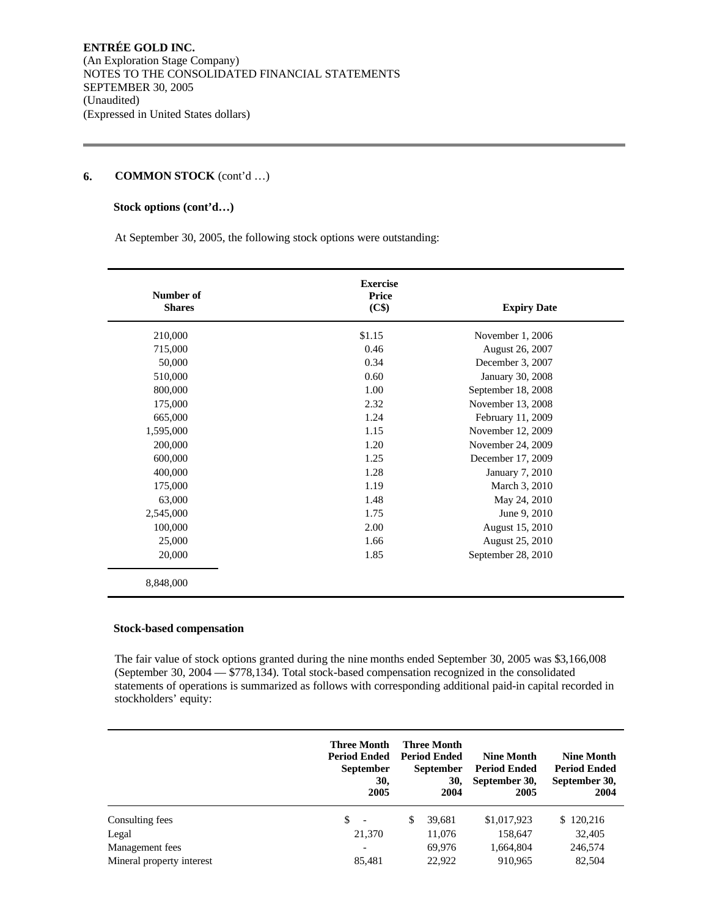## **6. COMMON STOCK** (cont'd …)

## **Stock options (cont'd…)**

At September 30, 2005, the following stock options were outstanding:

| Number of<br><b>Shares</b> | <b>Exercise</b><br>Price<br>(C\$) | <b>Expiry Date</b> |
|----------------------------|-----------------------------------|--------------------|
| 210,000                    | \$1.15                            | November 1, 2006   |
| 715,000                    | 0.46                              | August 26, 2007    |
| 50,000                     | 0.34                              | December 3, 2007   |
| 510,000                    | 0.60                              | January 30, 2008   |
| 800,000                    | 1.00                              | September 18, 2008 |
| 175,000                    | 2.32                              | November 13, 2008  |
| 665,000                    | 1.24                              | February 11, 2009  |
| 1,595,000                  | 1.15                              | November 12, 2009  |
| 200,000                    | 1.20                              | November 24, 2009  |
| 600,000                    | 1.25                              | December 17, 2009  |
| 400,000                    | 1.28                              | January 7, 2010    |
| 175,000                    | 1.19                              | March 3, 2010      |
| 63,000                     | 1.48                              | May 24, 2010       |
| 2,545,000                  | 1.75                              | June 9, 2010       |
| 100,000                    | 2.00                              | August 15, 2010    |
| 25,000                     | 1.66                              | August 25, 2010    |
| 20,000                     | 1.85                              | September 28, 2010 |
| 8,848,000                  |                                   |                    |

## **Stock-based compensation**

The fair value of stock options granted during the nine months ended September 30, 2005 was \$3,166,008 (September 30, 2004 — \$778,134). Total stock-based compensation recognized in the consolidated statements of operations is summarized as follows with corresponding additional paid-in capital recorded in stockholders' equity:

|                           | <b>Three Month</b><br><b>Period Ended</b><br><b>September</b><br>30,<br>2005 | <b>Three Month</b><br><b>Period Ended</b><br><b>September</b><br>30,<br>2004 | <b>Nine Month</b><br><b>Period Ended</b><br>September 30,<br>2005 | <b>Nine Month</b><br><b>Period Ended</b><br>September 30,<br>2004 |
|---------------------------|------------------------------------------------------------------------------|------------------------------------------------------------------------------|-------------------------------------------------------------------|-------------------------------------------------------------------|
| Consulting fees           | \$<br>$\overline{\phantom{a}}$                                               | \$<br>39,681                                                                 | \$1,017,923                                                       | \$120,216                                                         |
| Legal                     | 21,370                                                                       | 11,076                                                                       | 158,647                                                           | 32,405                                                            |
| Management fees           | $\overline{\phantom{0}}$                                                     | 69,976                                                                       | 1,664,804                                                         | 246,574                                                           |
| Mineral property interest | 85,481                                                                       | 22,922                                                                       | 910,965                                                           | 82,504                                                            |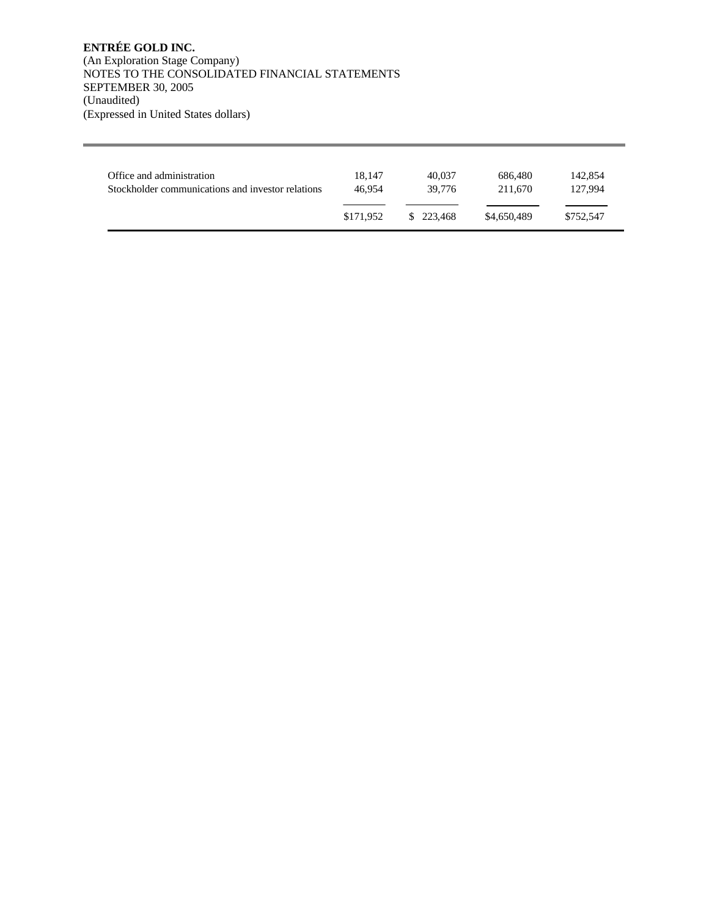| Office and administration                         | 18.147    | 40.037    | 686,480     | 142,854   |
|---------------------------------------------------|-----------|-----------|-------------|-----------|
| Stockholder communications and investor relations | 46.954    | 39.776    | 211.670     | 127.994   |
|                                                   | \$171.952 | \$223,468 | \$4,650,489 | \$752.547 |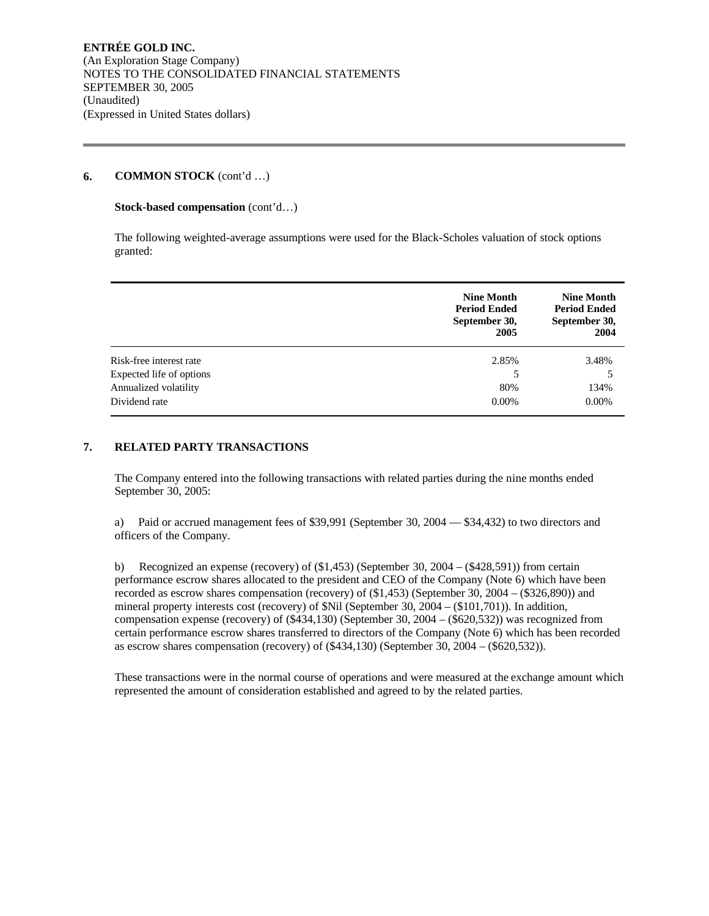### **6. COMMON STOCK** (cont'd …)

#### **Stock-based compensation** (cont'd…)

The following weighted-average assumptions were used for the Black-Scholes valuation of stock options granted:

|                          | <b>Nine Month</b><br><b>Period Ended</b><br>September 30,<br>2005 | <b>Nine Month</b><br><b>Period Ended</b><br>September 30,<br>2004 |
|--------------------------|-------------------------------------------------------------------|-------------------------------------------------------------------|
| Risk-free interest rate  | 2.85%                                                             | 3.48%                                                             |
| Expected life of options | 5                                                                 |                                                                   |
| Annualized volatility    | 80%                                                               | 134%                                                              |
| Dividend rate            | $0.00\%$                                                          | $0.00\%$                                                          |

## **7. RELATED PARTY TRANSACTIONS**

The Company entered into the following transactions with related parties during the nine months ended September 30, 2005:

a) Paid or accrued management fees of \$39,991 (September 30, 2004 — \$34,432) to two directors and officers of the Company.

b) Recognized an expense (recovery) of (\$1,453) (September 30, 2004 – (\$428,591)) from certain performance escrow shares allocated to the president and CEO of the Company (Note 6) which have been recorded as escrow shares compensation (recovery) of (\$1,453) (September 30, 2004 – (\$326,890)) and mineral property interests cost (recovery) of \$Nil (September 30, 2004 – (\$101,701)). In addition, compensation expense (recovery) of (\$434,130) (September 30, 2004 – (\$620,532)) was recognized from certain performance escrow shares transferred to directors of the Company (Note 6) which has been recorded as escrow shares compensation (recovery) of (\$434,130) (September 30, 2004 – (\$620,532)).

These transactions were in the normal course of operations and were measured at the exchange amount which represented the amount of consideration established and agreed to by the related parties.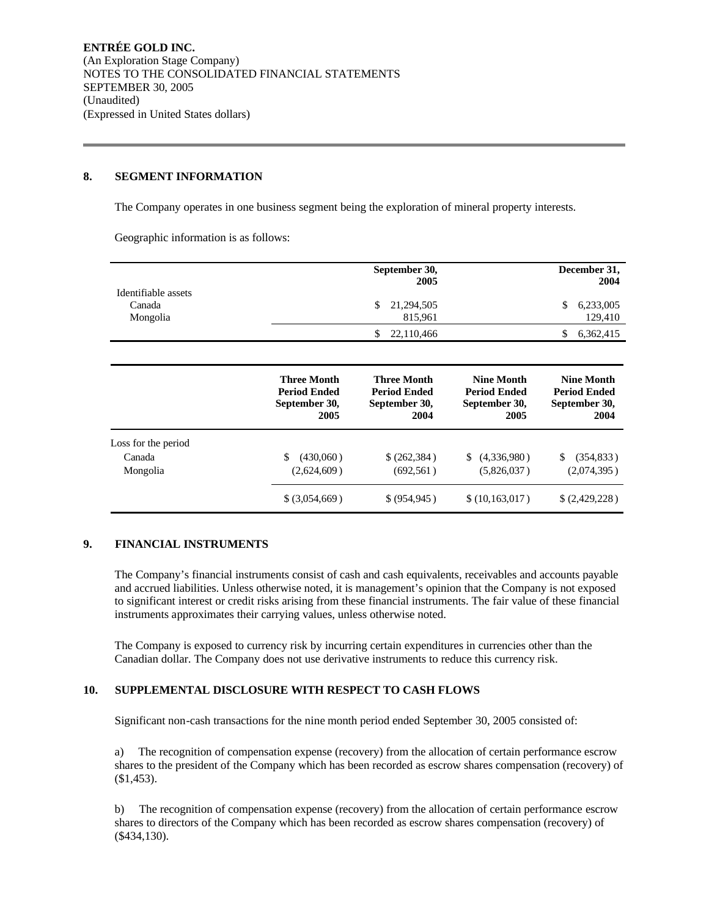#### **8. SEGMENT INFORMATION**

The Company operates in one business segment being the exploration of mineral property interests.

Geographic information is as follows:

|                                           |                                                                          | September 30,<br>2005                                                    |                                                                         | December 31,<br>2004                                                    |
|-------------------------------------------|--------------------------------------------------------------------------|--------------------------------------------------------------------------|-------------------------------------------------------------------------|-------------------------------------------------------------------------|
| Identifiable assets<br>Canada<br>Mongolia |                                                                          | 21,294,505<br>S<br>815,961                                               |                                                                         | 6,233,005<br>\$<br>129,410                                              |
|                                           |                                                                          | 22,110,466<br>S                                                          |                                                                         | 6,362,415<br>S                                                          |
|                                           | <b>Three Month</b><br><b>Period Ended</b><br>$\sim$ $\sim$ $\sim$ $\sim$ | <b>Three Month</b><br><b>Period Ended</b><br>$\sim$ $\sim$ $\sim$ $\sim$ | <b>Nine Month</b><br><b>Period Ended</b><br>$\sim$ $\sim$ $\sim$ $\sim$ | <b>Nine Month</b><br><b>Period Ended</b><br>$\sim$ $\sim$ $\sim$ $\sim$ |

|                     | September 30,<br>2005 | September 30,<br>2004 | September 30,<br>2005 | September 30,<br>2004 |
|---------------------|-----------------------|-----------------------|-----------------------|-----------------------|
| Loss for the period |                       |                       |                       |                       |
| Canada              | (430,060)             | \$ (262, 384)         | (4,336,980)<br>\$.    | (354, 833)            |
| Mongolia            | (2,624,609)           | (692, 561)            | (5,826,037)           | (2,074,395)           |
|                     | $$$ (3,054,669)       | \$ (954, 945)         | \$(10, 163, 017)      | \$(2,429,228)         |

## **9. FINANCIAL INSTRUMENTS**

The Company's financial instruments consist of cash and cash equivalents, receivables and accounts payable and accrued liabilities. Unless otherwise noted, it is management's opinion that the Company is not exposed to significant interest or credit risks arising from these financial instruments. The fair value of these financial instruments approximates their carrying values, unless otherwise noted.

The Company is exposed to currency risk by incurring certain expenditures in currencies other than the Canadian dollar. The Company does not use derivative instruments to reduce this currency risk.

## **10. SUPPLEMENTAL DISCLOSURE WITH RESPECT TO CASH FLOWS**

Significant non-cash transactions for the nine month period ended September 30, 2005 consisted of:

a) The recognition of compensation expense (recovery) from the allocation of certain performance escrow shares to the president of the Company which has been recorded as escrow shares compensation (recovery) of (\$1,453).

b) The recognition of compensation expense (recovery) from the allocation of certain performance escrow shares to directors of the Company which has been recorded as escrow shares compensation (recovery) of (\$434,130).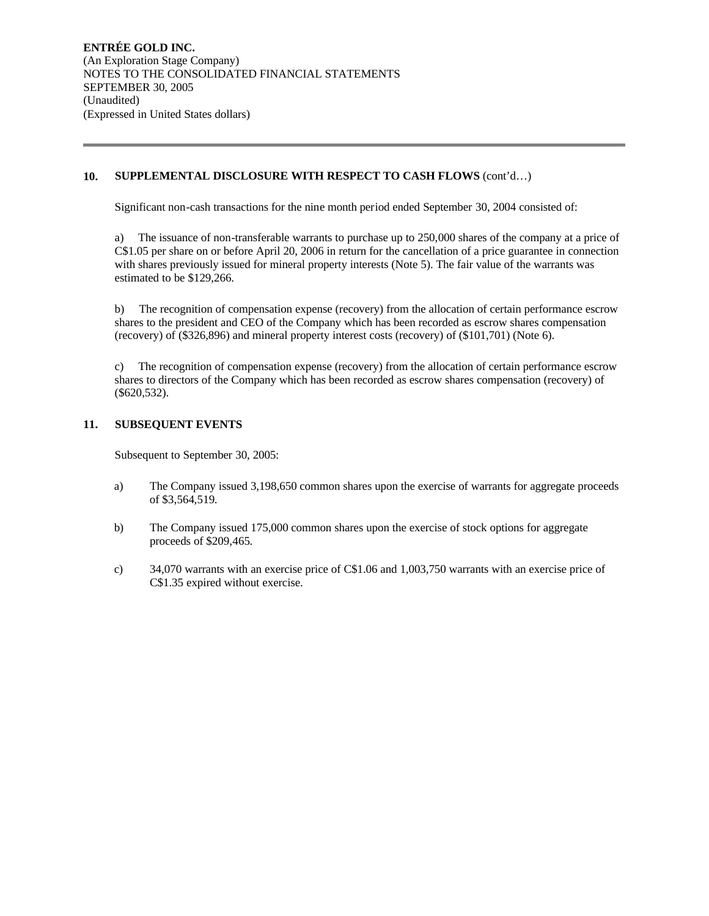## **10. SUPPLEMENTAL DISCLOSURE WITH RESPECT TO CASH FLOWS** (cont'd…)

Significant non-cash transactions for the nine month period ended September 30, 2004 consisted of:

a) The issuance of non-transferable warrants to purchase up to 250,000 shares of the company at a price of C\$1.05 per share on or before April 20, 2006 in return for the cancellation of a price guarantee in connection with shares previously issued for mineral property interests (Note 5). The fair value of the warrants was estimated to be \$129,266.

b) The recognition of compensation expense (recovery) from the allocation of certain performance escrow shares to the president and CEO of the Company which has been recorded as escrow shares compensation (recovery) of (\$326,896) and mineral property interest costs (recovery) of (\$101,701) (Note 6).

c) The recognition of compensation expense (recovery) from the allocation of certain performance escrow shares to directors of the Company which has been recorded as escrow shares compensation (recovery) of (\$620,532).

## **11. SUBSEQUENT EVENTS**

Subsequent to September 30, 2005:

- a) The Company issued 3,198,650 common shares upon the exercise of warrants for aggregate proceeds of \$3,564,519.
- b) The Company issued 175,000 common shares upon the exercise of stock options for aggregate proceeds of \$209,465.
- c) 34,070 warrants with an exercise price of C\$1.06 and 1,003,750 warrants with an exercise price of C\$1.35 expired without exercise.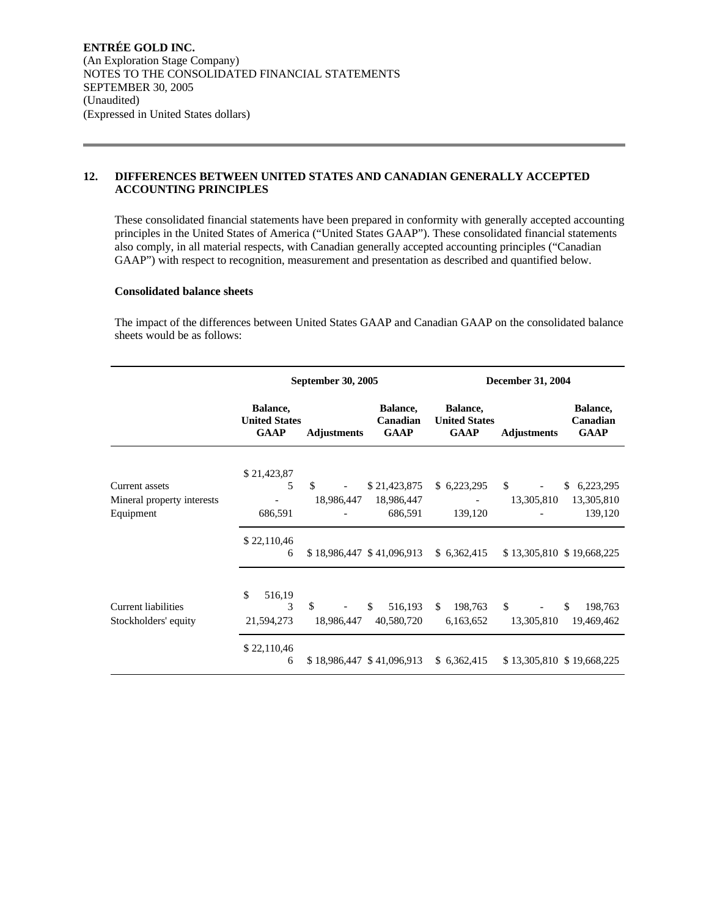## **12. DIFFERENCES BETWEEN UNITED STATES AND CANADIAN GENERALLY ACCEPTED ACCOUNTING PRINCIPLES**

These consolidated financial statements have been prepared in conformity with generally accepted accounting principles in the United States of America ("United States GAAP"). These consolidated financial statements also comply, in all material respects, with Canadian generally accepted accounting principles ("Canadian GAAP") with respect to recognition, measurement and presentation as described and quantified below.

#### **Consolidated balance sheets**

The impact of the differences between United States GAAP and Canadian GAAP on the consolidated balance sheets would be as follows:

|                                                    | September 30, 2005                              |                           |                                     | <b>December 31, 2004</b>                        |                    |                                     |
|----------------------------------------------------|-------------------------------------------------|---------------------------|-------------------------------------|-------------------------------------------------|--------------------|-------------------------------------|
|                                                    | Balance,<br><b>United States</b><br><b>GAAP</b> | <b>Adjustments</b>        | Balance,<br>Canadian<br><b>GAAP</b> | Balance,<br><b>United States</b><br><b>GAAP</b> | <b>Adjustments</b> | Balance,<br>Canadian<br><b>GAAP</b> |
|                                                    |                                                 |                           |                                     |                                                 |                    |                                     |
| Current assets                                     | \$21,423,87<br>5                                | \$                        | \$21,423,875                        | \$6,223,295                                     | \$                 | \$6,223,295                         |
| Mineral property interests                         |                                                 | 18,986,447                | 18,986,447                          |                                                 | 13,305,810         | 13,305,810                          |
| Equipment                                          | 686,591                                         |                           | 686,591                             | 139,120                                         |                    | 139,120                             |
|                                                    | \$22,110,46<br>6                                | \$18,986,447 \$41,096,913 |                                     | \$6,362,415                                     |                    | \$13,305,810 \$19,668,225           |
| <b>Current liabilities</b><br>Stockholders' equity | \$<br>516,19<br>3<br>21,594,273                 | \$<br>18,986,447          | \$.<br>516,193<br>40,580,720        | \$<br>198,763<br>6,163,652                      | \$<br>13,305,810   | \$<br>198,763<br>19,469,462         |
|                                                    | \$22,110,46<br>6                                | \$18,986,447 \$41,096,913 |                                     | \$6,362,415                                     |                    | \$13,305,810 \$19,668,225           |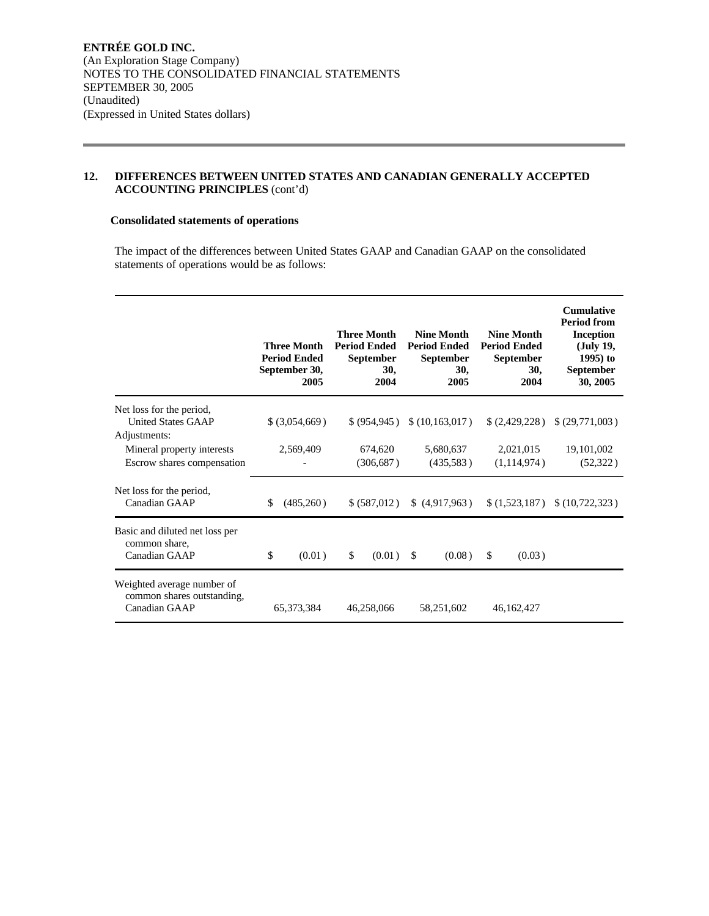## **12. DIFFERENCES BETWEEN UNITED STATES AND CANADIAN GENERALLY ACCEPTED ACCOUNTING PRINCIPLES** (cont'd)

### **Consolidated statements of operations**

The impact of the differences between United States GAAP and Canadian GAAP on the consolidated statements of operations would be as follows:

|                                                                           | <b>Three Month</b><br><b>Period Ended</b><br>September 30,<br>2005 | <b>Three Month</b><br><b>Period Ended</b><br><b>September</b><br>30,<br>2004 | <b>Nine Month</b><br><b>Period Ended</b><br><b>September</b><br>30,<br>2005 | <b>Nine Month</b><br><b>Period Ended</b><br><b>September</b><br>30,<br>2004 | <b>Cumulative</b><br><b>Period from</b><br><b>Inception</b><br>(July 19,<br>1995) to<br><b>September</b><br>30, 2005 |
|---------------------------------------------------------------------------|--------------------------------------------------------------------|------------------------------------------------------------------------------|-----------------------------------------------------------------------------|-----------------------------------------------------------------------------|----------------------------------------------------------------------------------------------------------------------|
| Net loss for the period,<br><b>United States GAAP</b>                     | $$$ (3,054,669)                                                    | \$ (954.945)                                                                 | \$(10, 163, 017)                                                            | \$(2,429,228)                                                               | \$ (29,771,003)                                                                                                      |
| Adjustments:<br>Mineral property interests<br>Escrow shares compensation  | 2,569,409                                                          | 674,620<br>(306, 687)                                                        | 5,680,637<br>(435,583)                                                      | 2,021,015<br>(1,114,974)                                                    | 19,101,002<br>(52, 322)                                                                                              |
| Net loss for the period,<br>Canadian GAAP                                 | (485,260)<br>S.                                                    | \$ (587,012)                                                                 | (4,917,963)                                                                 | \$(1,523,187)                                                               | \$ (10, 722, 323)                                                                                                    |
| Basic and diluted net loss per<br>common share,<br>Canadian GAAP          | \$<br>(0.01)                                                       | \$<br>(0.01)                                                                 | -\$<br>(0.08)                                                               | (0.03)<br>\$.                                                               |                                                                                                                      |
| Weighted average number of<br>common shares outstanding,<br>Canadian GAAP | 65, 373, 384                                                       | 46,258,066                                                                   | 58,251,602                                                                  | 46, 162, 427                                                                |                                                                                                                      |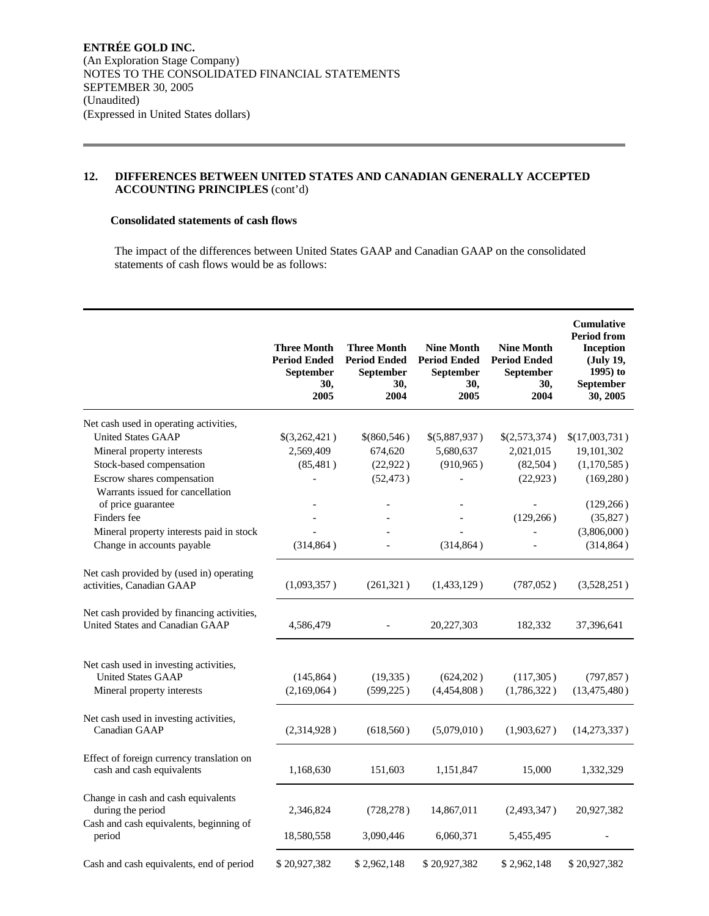## **12. DIFFERENCES BETWEEN UNITED STATES AND CANADIAN GENERALLY ACCEPTED ACCOUNTING PRINCIPLES** (cont'd)

#### **Consolidated statements of cash flows**

The impact of the differences between United States GAAP and Canadian GAAP on the consolidated statements of cash flows would be as follows:

|                                                                                                     | <b>Three Month</b><br><b>Period Ended</b><br><b>September</b><br>30,<br>2005 | <b>Three Month</b><br><b>Period Ended</b><br><b>September</b><br>30,<br>2004 | <b>Nine Month</b><br><b>Period Ended</b><br><b>September</b><br>30,<br>2005 | <b>Nine Month</b><br><b>Period Ended</b><br><b>September</b><br>30,<br>2004 | <b>Cumulative</b><br><b>Period from</b><br><b>Inception</b><br>(July 19,<br>$1995$ ) to<br>September<br>30, 2005 |
|-----------------------------------------------------------------------------------------------------|------------------------------------------------------------------------------|------------------------------------------------------------------------------|-----------------------------------------------------------------------------|-----------------------------------------------------------------------------|------------------------------------------------------------------------------------------------------------------|
| Net cash used in operating activities,                                                              |                                                                              |                                                                              |                                                                             |                                                                             |                                                                                                                  |
| <b>United States GAAP</b>                                                                           | \$(3,262,421)                                                                | \$(860,546)                                                                  | \$(5,887,937)                                                               | \$(2,573,374)                                                               | \$(17,003,731)                                                                                                   |
| Mineral property interests                                                                          | 2,569,409                                                                    | 674,620                                                                      | 5,680,637                                                                   | 2,021,015                                                                   | 19,101,302                                                                                                       |
| Stock-based compensation                                                                            | (85, 481)                                                                    | (22, 922)                                                                    | (910, 965)                                                                  | (82, 504)                                                                   | (1,170,585)                                                                                                      |
| Escrow shares compensation                                                                          |                                                                              | (52, 473)                                                                    |                                                                             | (22, 923)                                                                   | (169, 280)                                                                                                       |
| Warrants issued for cancellation                                                                    |                                                                              |                                                                              |                                                                             |                                                                             |                                                                                                                  |
| of price guarantee                                                                                  |                                                                              |                                                                              |                                                                             |                                                                             | (129, 266)                                                                                                       |
| Finders fee                                                                                         |                                                                              |                                                                              |                                                                             | (129, 266)                                                                  | (35,827)                                                                                                         |
| Mineral property interests paid in stock                                                            |                                                                              |                                                                              |                                                                             |                                                                             | (3,806,000)                                                                                                      |
| Change in accounts payable                                                                          | (314, 864)                                                                   |                                                                              | (314, 864)                                                                  |                                                                             | (314, 864)                                                                                                       |
|                                                                                                     |                                                                              |                                                                              |                                                                             |                                                                             |                                                                                                                  |
| Net cash provided by (used in) operating                                                            |                                                                              |                                                                              |                                                                             |                                                                             |                                                                                                                  |
| activities, Canadian GAAP                                                                           | (1,093,357)                                                                  | (261, 321)                                                                   | (1,433,129)                                                                 | (787, 052)                                                                  | (3,528,251)                                                                                                      |
| Net cash provided by financing activities,<br>United States and Canadian GAAP                       | 4,586,479                                                                    |                                                                              | 20,227,303                                                                  | 182,332                                                                     | 37,396,641                                                                                                       |
| Net cash used in investing activities,<br><b>United States GAAP</b>                                 | (145, 864)                                                                   | (19, 335)                                                                    | (624,202)                                                                   | (117, 305)                                                                  | (797, 857)                                                                                                       |
| Mineral property interests                                                                          | (2,169,064)                                                                  | (599, 225)                                                                   | (4,454,808)                                                                 | (1,786,322)                                                                 | (13, 475, 480)                                                                                                   |
| Net cash used in investing activities,<br>Canadian GAAP                                             | (2,314,928)                                                                  | (618, 560)                                                                   | (5,079,010)                                                                 | (1,903,627)                                                                 | (14,273,337)                                                                                                     |
| Effect of foreign currency translation on<br>cash and cash equivalents                              | 1,168,630                                                                    | 151,603                                                                      | 1,151,847                                                                   | 15,000                                                                      | 1,332,329                                                                                                        |
| Change in cash and cash equivalents<br>during the period<br>Cash and cash equivalents, beginning of | 2,346,824                                                                    | (728, 278)                                                                   | 14,867,011                                                                  | (2,493,347)                                                                 | 20,927,382                                                                                                       |
| period                                                                                              | 18,580,558                                                                   | 3,090,446                                                                    | 6,060,371                                                                   | 5,455,495                                                                   |                                                                                                                  |
| Cash and cash equivalents, end of period                                                            | \$20,927,382                                                                 | \$2,962,148                                                                  | \$20,927,382                                                                | \$2,962,148                                                                 | \$20,927,382                                                                                                     |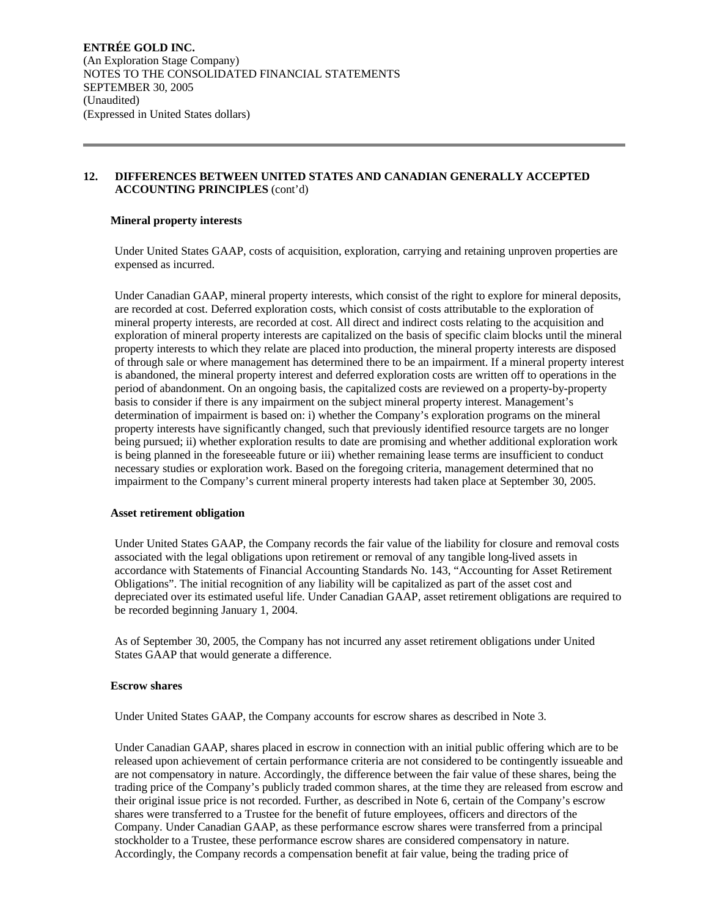### **12. DIFFERENCES BETWEEN UNITED STATES AND CANADIAN GENERALLY ACCEPTED ACCOUNTING PRINCIPLES** (cont'd)

#### **Mineral property interests**

Under United States GAAP, costs of acquisition, exploration, carrying and retaining unproven properties are expensed as incurred.

Under Canadian GAAP, mineral property interests, which consist of the right to explore for mineral deposits, are recorded at cost. Deferred exploration costs, which consist of costs attributable to the exploration of mineral property interests, are recorded at cost. All direct and indirect costs relating to the acquisition and exploration of mineral property interests are capitalized on the basis of specific claim blocks until the mineral property interests to which they relate are placed into production, the mineral property interests are disposed of through sale or where management has determined there to be an impairment. If a mineral property interest is abandoned, the mineral property interest and deferred exploration costs are written off to operations in the period of abandonment. On an ongoing basis, the capitalized costs are reviewed on a property-by-property basis to consider if there is any impairment on the subject mineral property interest. Management's determination of impairment is based on: i) whether the Company's exploration programs on the mineral property interests have significantly changed, such that previously identified resource targets are no longer being pursued; ii) whether exploration results to date are promising and whether additional exploration work is being planned in the foreseeable future or iii) whether remaining lease terms are insufficient to conduct necessary studies or exploration work. Based on the foregoing criteria, management determined that no impairment to the Company's current mineral property interests had taken place at September 30, 2005.

#### **Asset retirement obligation**

Under United States GAAP, the Company records the fair value of the liability for closure and removal costs associated with the legal obligations upon retirement or removal of any tangible long-lived assets in accordance with Statements of Financial Accounting Standards No. 143, "Accounting for Asset Retirement Obligations". The initial recognition of any liability will be capitalized as part of the asset cost and depreciated over its estimated useful life. Under Canadian GAAP, asset retirement obligations are required to be recorded beginning January 1, 2004.

As of September 30, 2005, the Company has not incurred any asset retirement obligations under United States GAAP that would generate a difference.

#### **Escrow shares**

Under United States GAAP, the Company accounts for escrow shares as described in Note 3.

Under Canadian GAAP, shares placed in escrow in connection with an initial public offering which are to be released upon achievement of certain performance criteria are not considered to be contingently issueable and are not compensatory in nature. Accordingly, the difference between the fair value of these shares, being the trading price of the Company's publicly traded common shares, at the time they are released from escrow and their original issue price is not recorded. Further, as described in Note 6, certain of the Company's escrow shares were transferred to a Trustee for the benefit of future employees, officers and directors of the Company. Under Canadian GAAP, as these performance escrow shares were transferred from a principal stockholder to a Trustee, these performance escrow shares are considered compensatory in nature. Accordingly, the Company records a compensation benefit at fair value, being the trading price of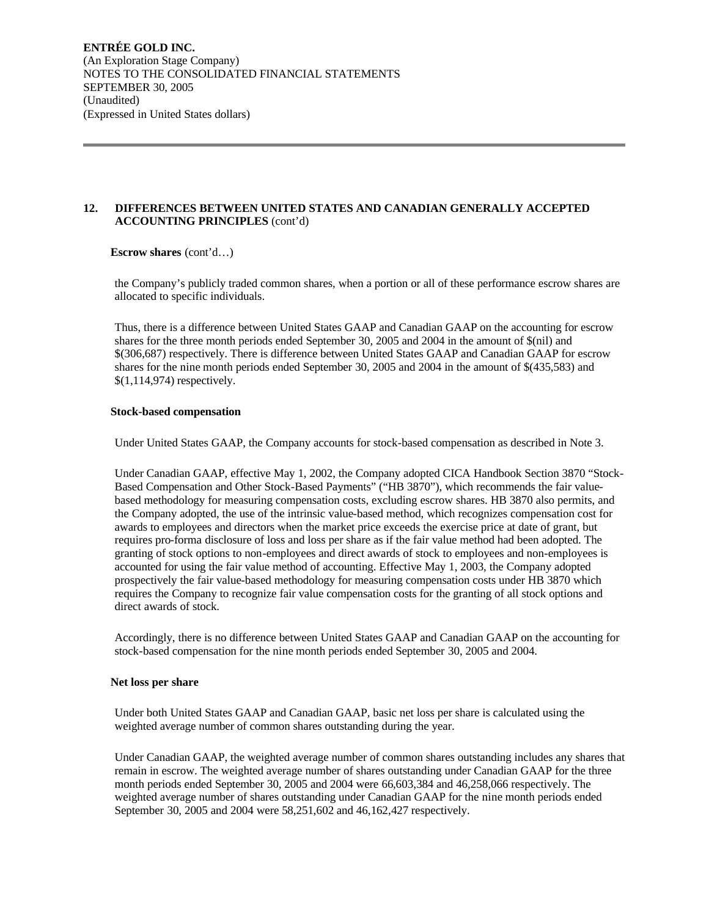## **12. DIFFERENCES BETWEEN UNITED STATES AND CANADIAN GENERALLY ACCEPTED ACCOUNTING PRINCIPLES** (cont'd)

#### **Escrow shares** (cont'd…)

the Company's publicly traded common shares, when a portion or all of these performance escrow shares are allocated to specific individuals.

Thus, there is a difference between United States GAAP and Canadian GAAP on the accounting for escrow shares for the three month periods ended September 30, 2005 and 2004 in the amount of \$(nil) and \$(306,687) respectively. There is difference between United States GAAP and Canadian GAAP for escrow shares for the nine month periods ended September 30, 2005 and 2004 in the amount of \$(435,583) and \$(1,114,974) respectively.

#### **Stock-based compensation**

Under United States GAAP, the Company accounts for stock-based compensation as described in Note 3.

Under Canadian GAAP, effective May 1, 2002, the Company adopted CICA Handbook Section 3870 "Stock-Based Compensation and Other Stock-Based Payments" ("HB 3870"), which recommends the fair valuebased methodology for measuring compensation costs, excluding escrow shares. HB 3870 also permits, and the Company adopted, the use of the intrinsic value-based method, which recognizes compensation cost for awards to employees and directors when the market price exceeds the exercise price at date of grant, but requires pro-forma disclosure of loss and loss per share as if the fair value method had been adopted. The granting of stock options to non-employees and direct awards of stock to employees and non-employees is accounted for using the fair value method of accounting. Effective May 1, 2003, the Company adopted prospectively the fair value-based methodology for measuring compensation costs under HB 3870 which requires the Company to recognize fair value compensation costs for the granting of all stock options and direct awards of stock.

Accordingly, there is no difference between United States GAAP and Canadian GAAP on the accounting for stock-based compensation for the nine month periods ended September 30, 2005 and 2004.

#### **Net loss per share**

Under both United States GAAP and Canadian GAAP, basic net loss per share is calculated using the weighted average number of common shares outstanding during the year.

Under Canadian GAAP, the weighted average number of common shares outstanding includes any shares that remain in escrow. The weighted average number of shares outstanding under Canadian GAAP for the three month periods ended September 30, 2005 and 2004 were 66,603,384 and 46,258,066 respectively. The weighted average number of shares outstanding under Canadian GAAP for the nine month periods ended September 30, 2005 and 2004 were 58,251,602 and 46,162,427 respectively.